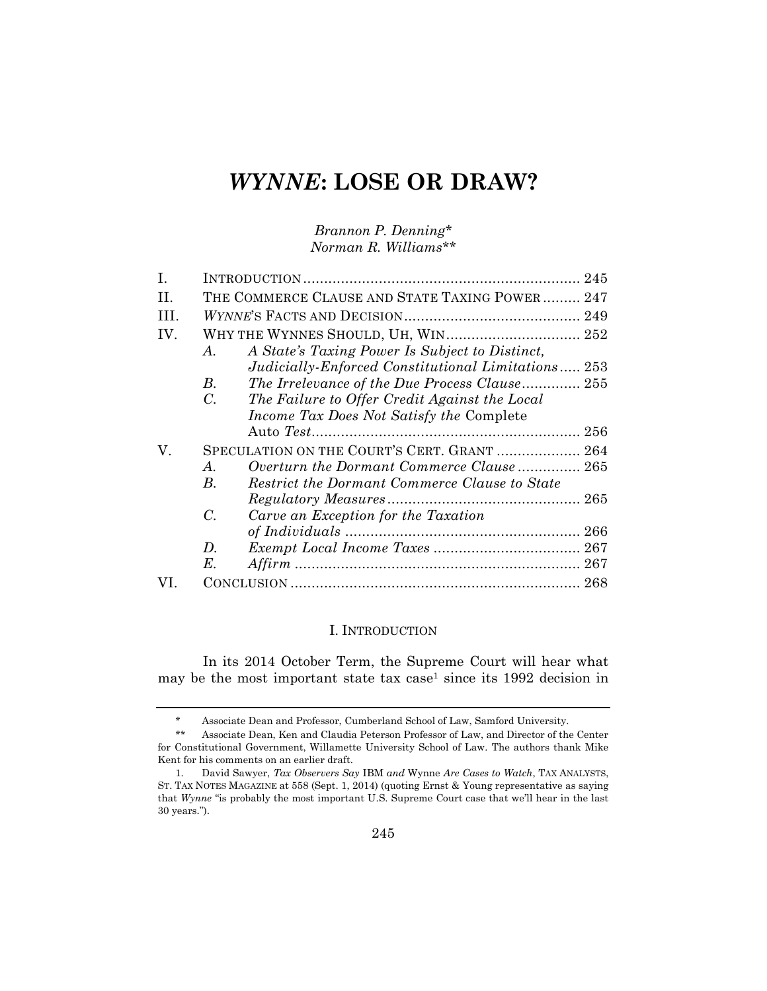# *WYNNE***: LOSE OR DRAW?**

*Brannon P. Denning\* Norman R. Williams\*\**

| H.  | THE COMMERCE CLAUSE AND STATE TAXING POWER  247 |                                                    |  |
|-----|-------------------------------------------------|----------------------------------------------------|--|
| HL. |                                                 |                                                    |  |
| IV. |                                                 |                                                    |  |
|     | $A_{\cdot}$                                     | A State's Taxing Power Is Subject to Distinct,     |  |
|     |                                                 | Judicially-Enforced Constitutional Limitations 253 |  |
|     | B.                                              | The Irrelevance of the Due Process Clause 255      |  |
|     | $C_{\cdot}$                                     | The Failure to Offer Credit Against the Local      |  |
|     |                                                 | Income Tax Does Not Satisfy the Complete           |  |
|     |                                                 |                                                    |  |
| V.  | SPECULATION ON THE COURT'S CERT. GRANT  264     |                                                    |  |
|     | A.                                              | Overturn the Dormant Commerce Clause 265           |  |
|     | В.                                              | Restrict the Dormant Commerce Clause to State      |  |
|     |                                                 |                                                    |  |
|     | C.                                              | Carve an Exception for the Taxation                |  |
|     |                                                 |                                                    |  |
|     | D.                                              |                                                    |  |
|     | $E_{\cdot}$                                     |                                                    |  |
|     |                                                 |                                                    |  |

## I. INTRODUCTION

In its 2014 October Term, the Supreme Court will hear what may be the most important state tax case<sup>1</sup> since its  $1992$  decision in

<sup>\*</sup> Associate Dean and Professor, Cumberland School of Law, Samford University.

<sup>\*\*</sup> Associate Dean, Ken and Claudia Peterson Professor of Law, and Director of the Center for Constitutional Government, Willamette University School of Law. The authors thank Mike Kent for his comments on an earlier draft.

<sup>1.</sup> David Sawyer, *Tax Observers Say* IBM *and* Wynne *Are Cases to Watch*, TAX ANALYSTS, ST. TAX NOTES MAGAZINE at 558 (Sept. 1, 2014) (quoting Ernst & Young representative as saying that *Wynne* "is probably the most important U.S. Supreme Court case that we'll hear in the last 30 years.").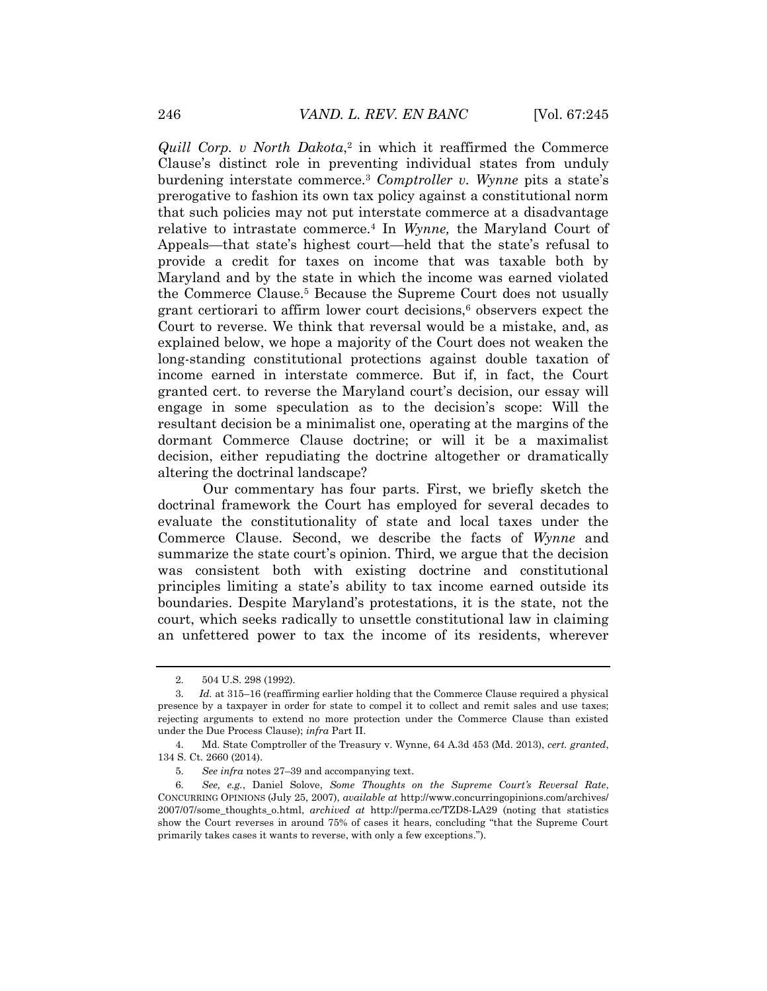*Quill Corp. v North Dakota*, 2 in which it reaffirmed the Commerce Clause's distinct role in preventing individual states from unduly burdening interstate commerce.<sup>3</sup> *Comptroller v. Wynne* pits a state's prerogative to fashion its own tax policy against a constitutional norm that such policies may not put interstate commerce at a disadvantage relative to intrastate commerce.<sup>4</sup> In *Wynne,* the Maryland Court of Appeals—that state's highest court—held that the state's refusal to provide a credit for taxes on income that was taxable both by Maryland and by the state in which the income was earned violated the Commerce Clause.<sup>5</sup> Because the Supreme Court does not usually grant certiorari to affirm lower court decisions, $6$  observers expect the Court to reverse. We think that reversal would be a mistake, and, as explained below, we hope a majority of the Court does not weaken the long-standing constitutional protections against double taxation of income earned in interstate commerce. But if, in fact, the Court granted cert. to reverse the Maryland court's decision, our essay will engage in some speculation as to the decision's scope: Will the resultant decision be a minimalist one, operating at the margins of the dormant Commerce Clause doctrine; or will it be a maximalist decision, either repudiating the doctrine altogether or dramatically altering the doctrinal landscape?

Our commentary has four parts. First, we briefly sketch the doctrinal framework the Court has employed for several decades to evaluate the constitutionality of state and local taxes under the Commerce Clause. Second, we describe the facts of *Wynne* and summarize the state court's opinion. Third, we argue that the decision was consistent both with existing doctrine and constitutional principles limiting a state's ability to tax income earned outside its boundaries. Despite Maryland's protestations, it is the state, not the court, which seeks radically to unsettle constitutional law in claiming an unfettered power to tax the income of its residents, wherever

<sup>2.</sup> 504 U.S. 298 (1992).

<sup>3.</sup> *Id.* at 315–16 (reaffirming earlier holding that the Commerce Clause required a physical presence by a taxpayer in order for state to compel it to collect and remit sales and use taxes; rejecting arguments to extend no more protection under the Commerce Clause than existed under the Due Process Clause); *infra* Part II.

<sup>4.</sup> Md. State Comptroller of the Treasury v. Wynne, 64 A.3d 453 (Md. 2013), *cert. granted*, 134 S. Ct. 2660 (2014).

<sup>5.</sup> *See infra* notes 27–39 and accompanying text.

<sup>6.</sup> *See, e.g.*, Daniel Solove, *Some Thoughts on the Supreme Court's Reversal Rate*, CONCURRING OPINIONS (July 25, 2007), *available at* http://www.concurringopinions.com/archives/ 2007/07/some\_thoughts\_o.html, *archived at* http://perma.cc/TZD8-LA29 (noting that statistics show the Court reverses in around 75% of cases it hears, concluding "that the Supreme Court primarily takes cases it wants to reverse, with only a few exceptions.").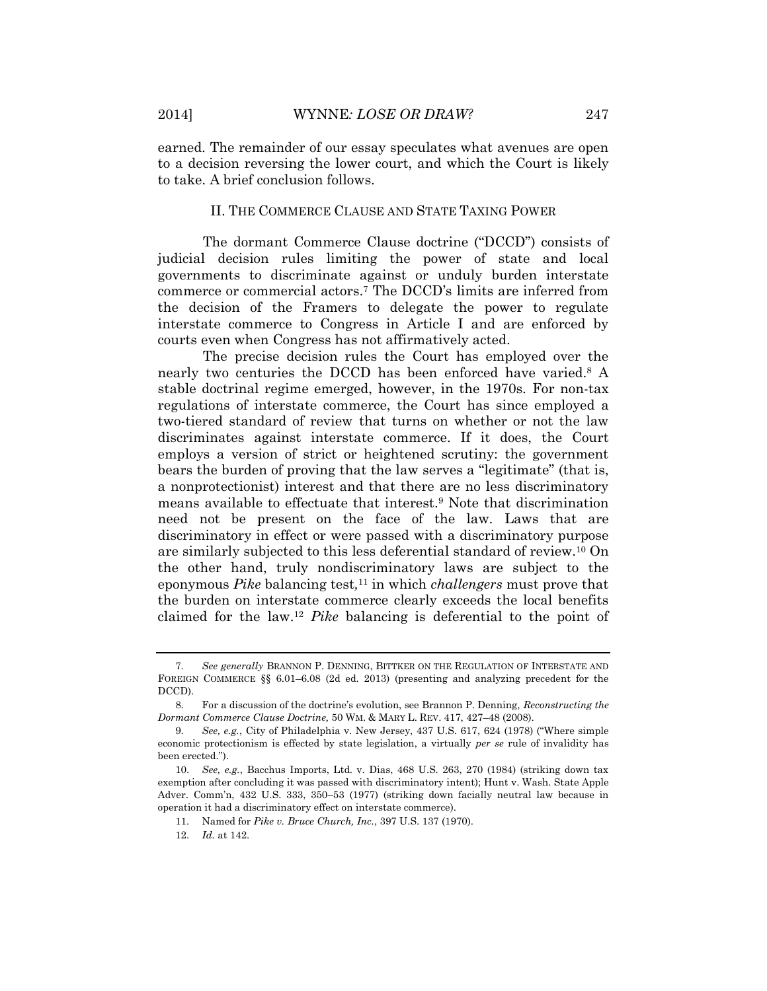earned. The remainder of our essay speculates what avenues are open to a decision reversing the lower court, and which the Court is likely to take. A brief conclusion follows.

#### II. THE COMMERCE CLAUSE AND STATE TAXING POWER

The dormant Commerce Clause doctrine ("DCCD") consists of judicial decision rules limiting the power of state and local governments to discriminate against or unduly burden interstate commerce or commercial actors.<sup>7</sup> The DCCD's limits are inferred from the decision of the Framers to delegate the power to regulate interstate commerce to Congress in Article I and are enforced by courts even when Congress has not affirmatively acted.

The precise decision rules the Court has employed over the nearly two centuries the DCCD has been enforced have varied.<sup>8</sup> A stable doctrinal regime emerged, however, in the 1970s. For non-tax regulations of interstate commerce, the Court has since employed a two-tiered standard of review that turns on whether or not the law discriminates against interstate commerce. If it does, the Court employs a version of strict or heightened scrutiny: the government bears the burden of proving that the law serves a "legitimate" (that is, a nonprotectionist) interest and that there are no less discriminatory means available to effectuate that interest.<sup>9</sup> Note that discrimination need not be present on the face of the law. Laws that are discriminatory in effect or were passed with a discriminatory purpose are similarly subjected to this less deferential standard of review.<sup>10</sup> On the other hand, truly nondiscriminatory laws are subject to the eponymous *Pike* balancing test*,* <sup>11</sup> in which *challengers* must prove that the burden on interstate commerce clearly exceeds the local benefits claimed for the law.<sup>12</sup> *Pike* balancing is deferential to the point of

<sup>7.</sup> *See generally* BRANNON P. DENNING, BITTKER ON THE REGULATION OF INTERSTATE AND FOREIGN COMMERCE §§ 6.01–6.08 (2d ed. 2013) (presenting and analyzing precedent for the DCCD).

<sup>8.</sup> For a discussion of the doctrine's evolution, see Brannon P. Denning, *Reconstructing the Dormant Commerce Clause Doctrine,* 50 WM. & MARY L. REV. 417, 427–48 (2008).

<sup>9.</sup> *See, e.g.*, City of Philadelphia v. New Jersey, 437 U.S. 617, 624 (1978) ("Where simple economic protectionism is effected by state legislation, a virtually *per se* rule of invalidity has been erected.").

<sup>10.</sup> *See, e.g.*, Bacchus Imports, Ltd. v. Dias, 468 U.S. 263, 270 (1984) (striking down tax exemption after concluding it was passed with discriminatory intent); Hunt v. Wash. State Apple Adver. Comm'n, 432 U.S. 333, 350–53 (1977) (striking down facially neutral law because in operation it had a discriminatory effect on interstate commerce).

<sup>11.</sup> Named for *Pike v. Bruce Church, Inc.*, 397 U.S. 137 (1970).

<sup>12.</sup> *Id.* at 142.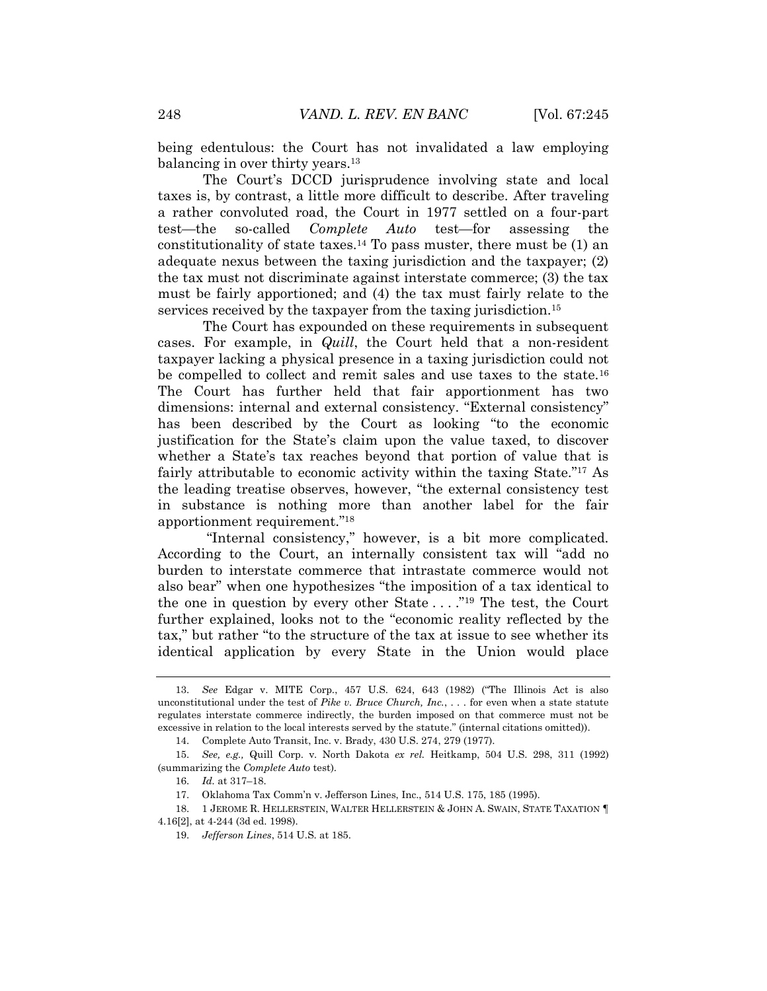being edentulous: the Court has not invalidated a law employing balancing in over thirty years.<sup>13</sup>

The Court's DCCD jurisprudence involving state and local taxes is, by contrast, a little more difficult to describe. After traveling a rather convoluted road, the Court in 1977 settled on a four-part test—the so-called *Complete Auto* test—for assessing the constitutionality of state taxes.<sup>14</sup> To pass muster, there must be  $(1)$  an adequate nexus between the taxing jurisdiction and the taxpayer; (2) the tax must not discriminate against interstate commerce; (3) the tax must be fairly apportioned; and (4) the tax must fairly relate to the services received by the taxpayer from the taxing jurisdiction.<sup>15</sup>

The Court has expounded on these requirements in subsequent cases. For example, in *Quill*, the Court held that a non-resident taxpayer lacking a physical presence in a taxing jurisdiction could not be compelled to collect and remit sales and use taxes to the state.<sup>16</sup> The Court has further held that fair apportionment has two dimensions: internal and external consistency. "External consistency" has been described by the Court as looking "to the economic justification for the State's claim upon the value taxed, to discover whether a State's tax reaches beyond that portion of value that is fairly attributable to economic activity within the taxing State." <sup>17</sup> As the leading treatise observes, however, "the external consistency test in substance is nothing more than another label for the fair apportionment requirement." 18

<span id="page-3-0"></span>"Internal consistency," however, is a bit more complicated. According to the Court, an internally consistent tax will "add no burden to interstate commerce that intrastate commerce would not also bear" when one hypothesizes "the imposition of a tax identical to the one in question by every other State . . . ."<sup>19</sup> The test, the Court further explained, looks not to the "economic reality reflected by the tax," but rather "to the structure of the tax at issue to see whether its identical application by every State in the Union would place

<sup>13.</sup> *See* Edgar v. MITE Corp., 457 U.S. 624, 643 (1982) ("The Illinois Act is also unconstitutional under the test of *Pike v. Bruce Church, Inc.*, . . . for even when a state statute regulates interstate commerce indirectly, the burden imposed on that commerce must not be excessive in relation to the local interests served by the statute." (internal citations omitted)).

<sup>14.</sup> Complete Auto Transit, Inc. v. Brady, 430 U.S. 274, 279 (1977).

<sup>15.</sup> *See, e.g.,* Quill Corp. v. North Dakota *ex rel.* Heitkamp, 504 U.S. 298, 311 (1992) (summarizing the *Complete Auto* test).

<sup>16.</sup> *Id.* at 317–18.

<sup>17.</sup> Oklahoma Tax Comm'n v. Jefferson Lines, Inc., 514 U.S. 175, 185 (1995).

<sup>18. 1</sup> JEROME R. HELLERSTEIN, WALTER HELLERSTEIN & JOHN A. SWAIN, STATE TAXATION 1 4.16[2], at 4-244 (3d ed. 1998).

<sup>19.</sup> *Jefferson Lines*, 514 U.S. at 185.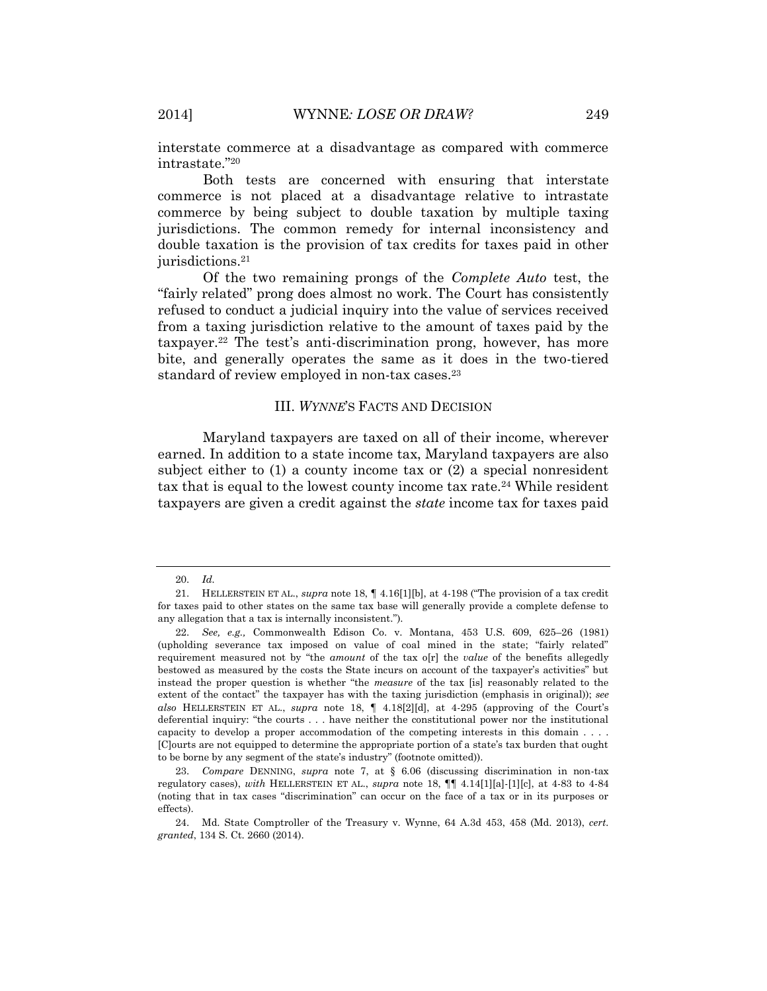interstate commerce at a disadvantage as compared with commerce intrastate." 20

Both tests are concerned with ensuring that interstate commerce is not placed at a disadvantage relative to intrastate commerce by being subject to double taxation by multiple taxing jurisdictions. The common remedy for internal inconsistency and double taxation is the provision of tax credits for taxes paid in other jurisdictions.<sup>21</sup>

Of the two remaining prongs of the *Complete Auto* test, the "fairly related" prong does almost no work. The Court has consistently refused to conduct a judicial inquiry into the value of services received from a taxing jurisdiction relative to the amount of taxes paid by the taxpayer.<sup>22</sup> The test's anti-discrimination prong, however, has more bite, and generally operates the same as it does in the two-tiered standard of review employed in non-tax cases.<sup>23</sup>

## III. *WYNNE*'S FACTS AND DECISION

Maryland taxpayers are taxed on all of their income, wherever earned. In addition to a state income tax, Maryland taxpayers are also subject either to (1) a county income tax or (2) a special nonresident tax that is equal to the lowest county income tax rate.<sup>24</sup> While resident taxpayers are given a credit against the *state* income tax for taxes paid

<sup>20.</sup> *Id.*

<sup>21.</sup> HELLERSTEIN ET AL., *supra* note 18, ¶ 4.16[1][b], at 4-198 ("The provision of a tax credit for taxes paid to other states on the same tax base will generally provide a complete defense to any allegation that a tax is internally inconsistent.").

<sup>22.</sup> *See, e.g.,* Commonwealth Edison Co. v. Montana, 453 U.S. 609, 625–26 (1981) (upholding severance tax imposed on value of coal mined in the state; "fairly related" requirement measured not by "the *amount* of the tax o[r] the *value* of the benefits allegedly bestowed as measured by the costs the State incurs on account of the taxpayer's activities" but instead the proper question is whether "the *measure* of the tax [is] reasonably related to the extent of the contact" the taxpayer has with the taxing jurisdiction (emphasis in original)); *see also* HELLERSTEIN ET AL., *supra* note 18, ¶ 4.18[2][d], at 4-295 (approving of the Court's deferential inquiry: "the courts . . . have neither the constitutional power nor the institutional capacity to develop a proper accommodation of the competing interests in this domain . . . . [C]ourts are not equipped to determine the appropriate portion of a state's tax burden that ought to be borne by any segment of the state's industry" (footnote omitted)).

<sup>23.</sup> *Compare* DENNING, *supra* note 7, at § 6.06 (discussing discrimination in non-tax regulatory cases), *with* HELLERSTEIN ET AL., *supra* note 18, ¶¶ 4.14[1][a]-[1][c], at 4-83 to 4-84 (noting that in tax cases "discrimination" can occur on the face of a tax or in its purposes or effects).

<sup>24.</sup> Md. State Comptroller of the Treasury v. Wynne, 64 A.3d 453, 458 (Md. 2013), *cert. granted*, 134 S. Ct. 2660 (2014).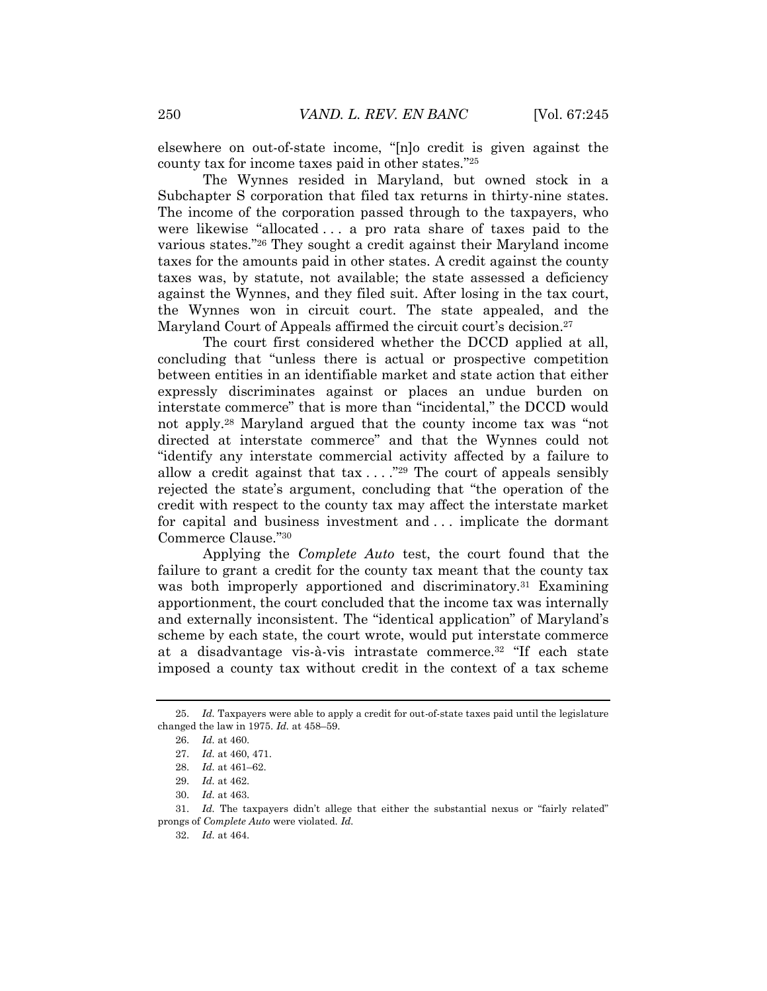elsewhere on out-of-state income, "[n]o credit is given against the county tax for income taxes paid in other states." 25

The Wynnes resided in Maryland, but owned stock in a Subchapter S corporation that filed tax returns in thirty-nine states. The income of the corporation passed through to the taxpayers, who were likewise "allocated . . . a pro rata share of taxes paid to the various states." <sup>26</sup> They sought a credit against their Maryland income taxes for the amounts paid in other states. A credit against the county taxes was, by statute, not available; the state assessed a deficiency against the Wynnes, and they filed suit. After losing in the tax court, the Wynnes won in circuit court. The state appealed, and the Maryland Court of Appeals affirmed the circuit court's decision.<sup>27</sup>

The court first considered whether the DCCD applied at all, concluding that "unless there is actual or prospective competition between entities in an identifiable market and state action that either expressly discriminates against or places an undue burden on interstate commerce" that is more than "incidental," the DCCD would not apply.<sup>28</sup> Maryland argued that the county income tax was "not directed at interstate commerce" and that the Wynnes could not "identify any interstate commercial activity affected by a failure to allow a credit against that  $\text{tax} \dots$  ."<sup>29</sup> The court of appeals sensibly rejected the state's argument, concluding that "the operation of the credit with respect to the county tax may affect the interstate market for capital and business investment and . . . implicate the dormant Commerce Clause." 30

Applying the *Complete Auto* test, the court found that the failure to grant a credit for the county tax meant that the county tax was both improperly apportioned and discriminatory.<sup>31</sup> Examining apportionment, the court concluded that the income tax was internally and externally inconsistent. The "identical application" of Maryland's scheme by each state, the court wrote, would put interstate commerce at a disadvantage vis-à-vis intrastate commerce.<sup>32</sup> "If each state imposed a county tax without credit in the context of a tax scheme

<sup>25.</sup> *Id.* Taxpayers were able to apply a credit for out-of-state taxes paid until the legislature changed the law in 1975. *Id.* at 458–59.

<sup>26.</sup> *Id.* at 460.

<sup>27.</sup> *Id.* at 460, 471.

<sup>28.</sup> *Id.* at 461–62.

<sup>29.</sup> *Id.* at 462.

<sup>30.</sup> *Id.* at 463.

<sup>31.</sup> *Id.* The taxpayers didn't allege that either the substantial nexus or "fairly related" prongs of *Complete Auto* were violated. *Id.*

<sup>32.</sup> *Id.* at 464.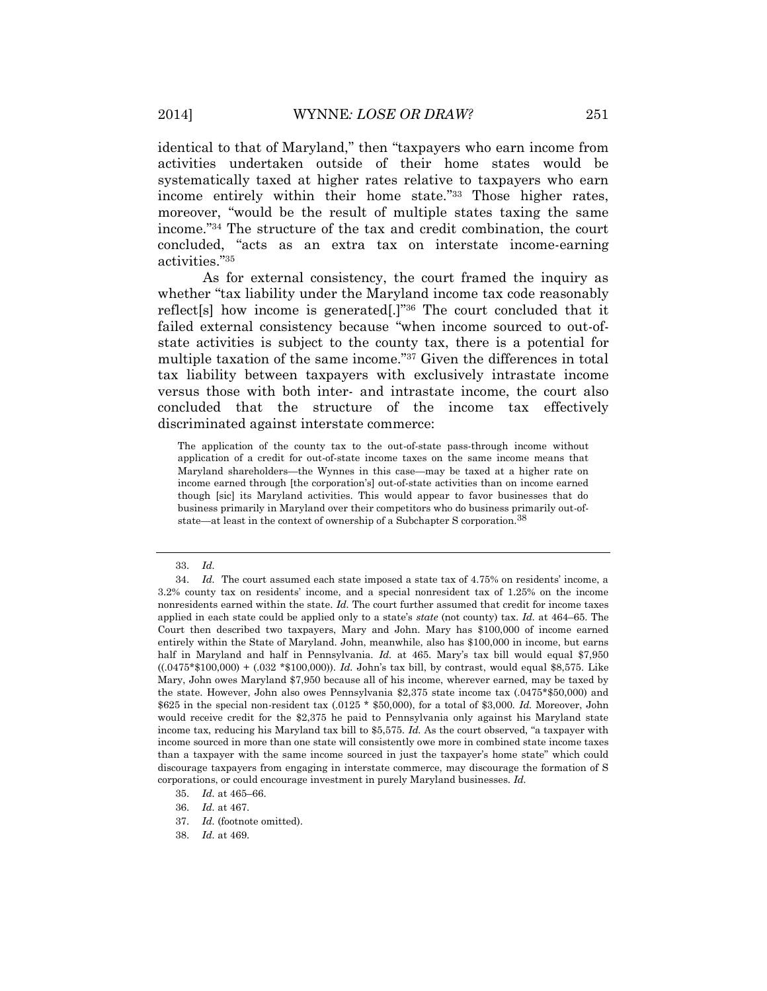identical to that of Maryland," then "taxpayers who earn income from activities undertaken outside of their home states would be systematically taxed at higher rates relative to taxpayers who earn income entirely within their home state." <sup>33</sup> Those higher rates, moreover, "would be the result of multiple states taxing the same income." <sup>34</sup> The structure of the tax and credit combination, the court concluded, "acts as an extra tax on interstate income-earning activities." 35

<span id="page-6-0"></span>As for external consistency, the court framed the inquiry as whether "tax liability under the Maryland income tax code reasonably reflect[s] how income is generated[.]" <sup>36</sup> The court concluded that it failed external consistency because "when income sourced to out-ofstate activities is subject to the county tax, there is a potential for multiple taxation of the same income." <sup>37</sup> Given the differences in total tax liability between taxpayers with exclusively intrastate income versus those with both inter- and intrastate income, the court also concluded that the structure of the income tax effectively discriminated against interstate commerce:

The application of the county tax to the out-of-state pass-through income without application of a credit for out-of-state income taxes on the same income means that Maryland shareholders—the Wynnes in this case—may be taxed at a higher rate on income earned through [the corporation's] out-of-state activities than on income earned though [sic] its Maryland activities. This would appear to favor businesses that do business primarily in Maryland over their competitors who do business primarily out-ofstate—at least in the context of ownership of a Subchapter S corporation.<sup>38</sup>

<sup>33.</sup> *Id.*

<sup>34.</sup> *Id.* The court assumed each state imposed a state tax of 4.75% on residents' income, a 3.2% county tax on residents' income, and a special nonresident tax of 1.25% on the income nonresidents earned within the state. *Id.* The court further assumed that credit for income taxes applied in each state could be applied only to a state's *state* (not county) tax. *Id.* at 464–65. The Court then described two taxpayers, Mary and John. Mary has \$100,000 of income earned entirely within the State of Maryland. John, meanwhile, also has \$100,000 in income, but earns half in Maryland and half in Pennsylvania. *Id.* at 465. Mary's tax bill would equal \$7,950 ((.0475\*\$100,000) + (.032 \*\$100,000)). *Id.* John's tax bill, by contrast, would equal \$8,575. Like Mary, John owes Maryland \$7,950 because all of his income, wherever earned, may be taxed by the state. However, John also owes Pennsylvania \$2,375 state income tax (.0475\*\$50,000) and \$625 in the special non-resident tax (.0125 \* \$50,000), for a total of \$3,000. *Id.* Moreover, John would receive credit for the \$2,375 he paid to Pennsylvania only against his Maryland state income tax, reducing his Maryland tax bill to \$5,575. *Id.* As the court observed, "a taxpayer with income sourced in more than one state will consistently owe more in combined state income taxes than a taxpayer with the same income sourced in just the taxpayer's home state" which could discourage taxpayers from engaging in interstate commerce, may discourage the formation of S corporations, or could encourage investment in purely Maryland businesses. *Id.*

<sup>35.</sup> *Id.* at 465–66.

<sup>36.</sup> *Id.* at 467.

<sup>37.</sup> *Id.* (footnote omitted).

<sup>38.</sup> *Id.* at 469.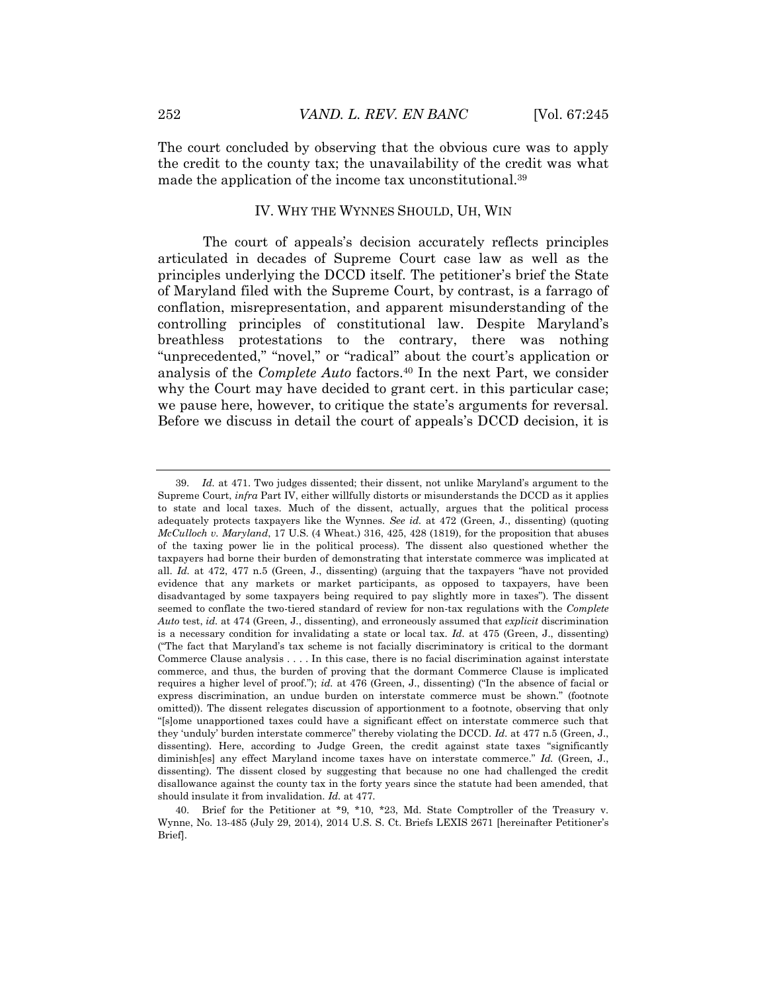The court concluded by observing that the obvious cure was to apply the credit to the county tax; the unavailability of the credit was what made the application of the income tax unconstitutional.<sup>39</sup>

#### <span id="page-7-0"></span>IV. WHY THE WYNNES SHOULD, UH, WIN

The court of appeals's decision accurately reflects principles articulated in decades of Supreme Court case law as well as the principles underlying the DCCD itself. The petitioner's brief the State of Maryland filed with the Supreme Court, by contrast, is a farrago of conflation, misrepresentation, and apparent misunderstanding of the controlling principles of constitutional law. Despite Maryland's breathless protestations to the contrary, there was nothing "unprecedented," "novel," or "radical" about the court's application or analysis of the *Complete Auto* factors.<sup>40</sup> In the next Part, we consider why the Court may have decided to grant cert. in this particular case; we pause here, however, to critique the state's arguments for reversal. Before we discuss in detail the court of appeals's DCCD decision, it is

<sup>39.</sup> *Id.* at 471. Two judges dissented; their dissent, not unlike Maryland's argument to the Supreme Court, *infra* Part IV, either willfully distorts or misunderstands the DCCD as it applies to state and local taxes. Much of the dissent, actually, argues that the political process adequately protects taxpayers like the Wynnes. *See id.* at 472 (Green, J., dissenting) (quoting *McCulloch v. Maryland*, 17 U.S. (4 Wheat.) 316, 425, 428 (1819), for the proposition that abuses of the taxing power lie in the political process). The dissent also questioned whether the taxpayers had borne their burden of demonstrating that interstate commerce was implicated at all. *Id.* at 472, 477 n.5 (Green, J., dissenting) (arguing that the taxpayers "have not provided evidence that any markets or market participants, as opposed to taxpayers, have been disadvantaged by some taxpayers being required to pay slightly more in taxes"). The dissent seemed to conflate the two-tiered standard of review for non-tax regulations with the *Complete Auto* test, *id.* at 474 (Green, J., dissenting), and erroneously assumed that *explicit* discrimination is a necessary condition for invalidating a state or local tax. *Id.* at 475 (Green, J., dissenting) ("The fact that Maryland's tax scheme is not facially discriminatory is critical to the dormant Commerce Clause analysis . . . . In this case, there is no facial discrimination against interstate commerce, and thus, the burden of proving that the dormant Commerce Clause is implicated requires a higher level of proof."); *id.* at 476 (Green, J., dissenting) ("In the absence of facial or express discrimination, an undue burden on interstate commerce must be shown." (footnote omitted)). The dissent relegates discussion of apportionment to a footnote, observing that only "[s]ome unapportioned taxes could have a significant effect on interstate commerce such that they 'unduly' burden interstate commerce" thereby violating the DCCD. *Id.* at 477 n.5 (Green, J., dissenting). Here, according to Judge Green, the credit against state taxes "significantly diminish[es] any effect Maryland income taxes have on interstate commerce." *Id.* (Green, J., dissenting). The dissent closed by suggesting that because no one had challenged the credit disallowance against the county tax in the forty years since the statute had been amended, that should insulate it from invalidation. *Id.* at 477.

<sup>40.</sup> Brief for the Petitioner at \*9, \*10, \*23, Md. State Comptroller of the Treasury v. Wynne, No. 13-485 (July 29, 2014), 2014 U.S. S. Ct. Briefs LEXIS 2671 [hereinafter Petitioner's Brief].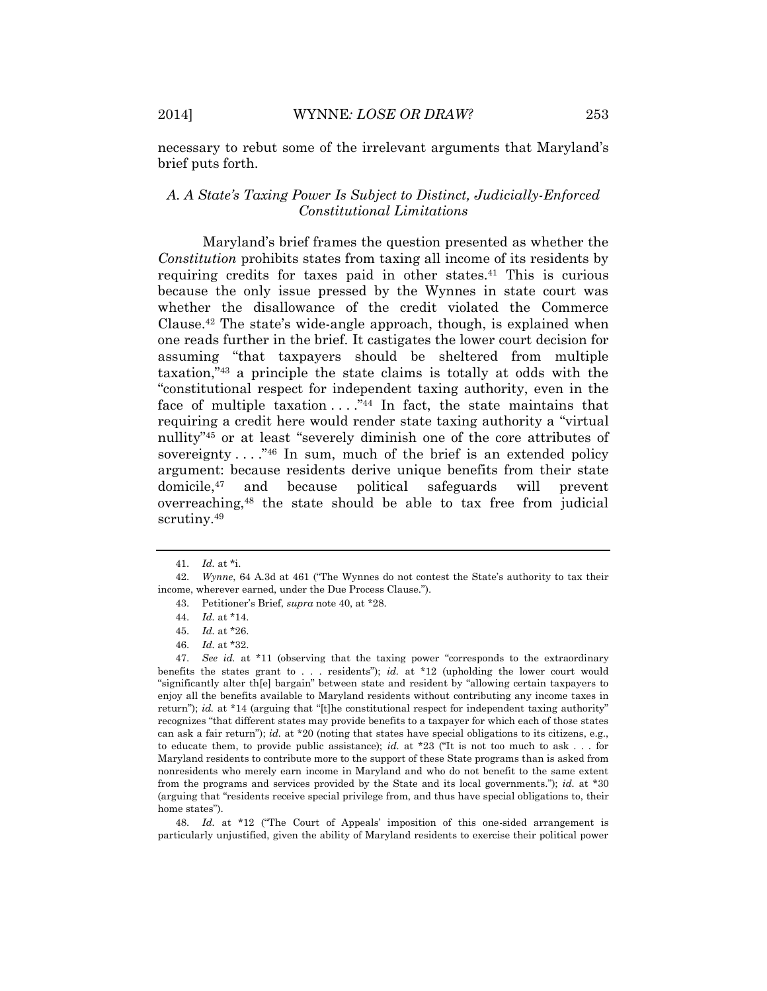necessary to rebut some of the irrelevant arguments that Maryland's brief puts forth.

## *A. A State's Taxing Power Is Subject to Distinct, Judicially-Enforced Constitutional Limitations*

Maryland's brief frames the question presented as whether the *Constitution* prohibits states from taxing all income of its residents by requiring credits for taxes paid in other states.<sup>41</sup> This is curious because the only issue pressed by the Wynnes in state court was whether the disallowance of the credit violated the Commerce Clause.<sup>42</sup> The state's wide-angle approach, though, is explained when one reads further in the brief. It castigates the lower court decision for assuming "that taxpayers should be sheltered from multiple taxation," <sup>43</sup> a principle the state claims is totally at odds with the "constitutional respect for independent taxing authority, even in the face of multiple taxation  $\dots$ ."<sup>44</sup> In fact, the state maintains that requiring a credit here would render state taxing authority a "virtual nullity" <sup>45</sup> or at least "severely diminish one of the core attributes of sovereignty  $\dots$ ."<sup>46</sup> In sum, much of the brief is an extended policy argument: because residents derive unique benefits from their state domicile,<sup>47</sup> and because political safeguards will prevent overreaching,<sup>48</sup> the state should be able to tax free from judicial scrutiny.<sup>49</sup>

48. *Id.* at \*12 ("The Court of Appeals' imposition of this one-sided arrangement is particularly unjustified, given the ability of Maryland residents to exercise their political power

<sup>41.</sup> *Id.* at \*i.

<sup>42.</sup> *Wynne*, 64 A.3d at 461 ("The Wynnes do not contest the State's authority to tax their income, wherever earned, under the Due Process Clause.").

<sup>43.</sup> Petitioner's Brief, *supra* note 40, at \*28.

<sup>44.</sup> *Id.* at \*14.

<sup>45.</sup> *Id.* at \*26.

<sup>46.</sup> *Id.* at \*32.

<sup>47.</sup> *See id.* at \*11 (observing that the taxing power "corresponds to the extraordinary benefits the states grant to . . . residents"); *id.* at \*12 (upholding the lower court would "significantly alter th[e] bargain" between state and resident by "allowing certain taxpayers to enjoy all the benefits available to Maryland residents without contributing any income taxes in return"); *id.* at \*14 (arguing that "[t]he constitutional respect for independent taxing authority" recognizes "that different states may provide benefits to a taxpayer for which each of those states can ask a fair return"); *id.* at \*20 (noting that states have special obligations to its citizens, e.g., to educate them, to provide public assistance); *id.* at \*23 ("It is not too much to ask . . . for Maryland residents to contribute more to the support of these State programs than is asked from nonresidents who merely earn income in Maryland and who do not benefit to the same extent from the programs and services provided by the State and its local governments."); *id.* at \*30 (arguing that "residents receive special privilege from, and thus have special obligations to, their home states").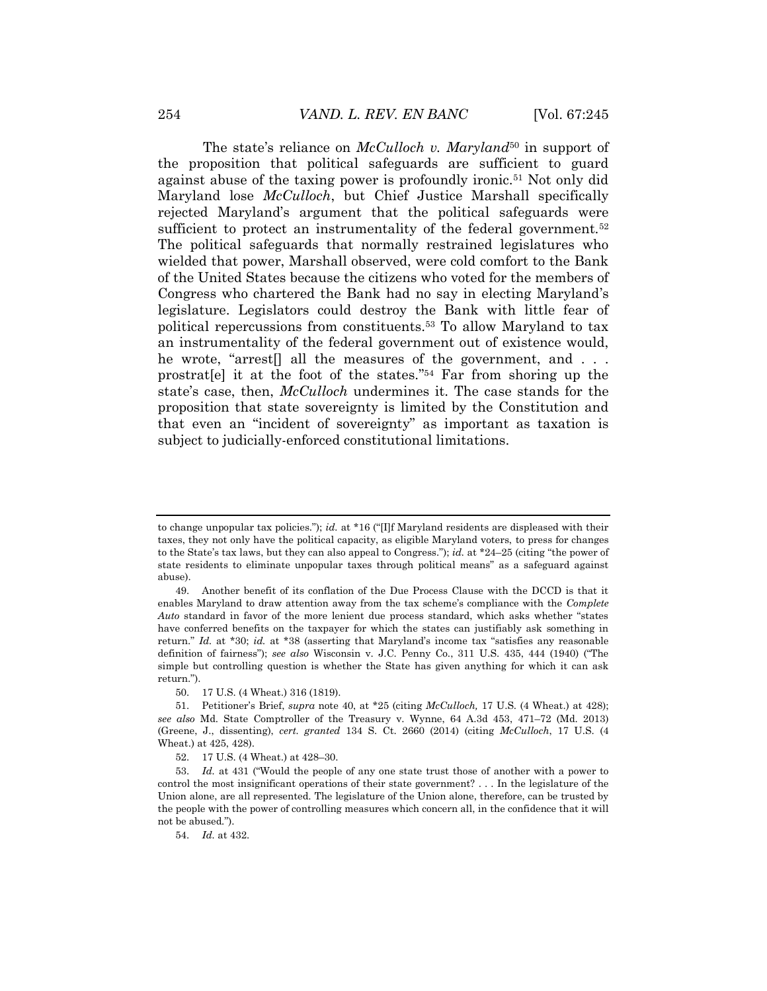The state's reliance on *McCulloch v. Maryland*<sup>50</sup> in support of the proposition that political safeguards are sufficient to guard against abuse of the taxing power is profoundly ironic.<sup>51</sup> Not only did Maryland lose *McCulloch*, but Chief Justice Marshall specifically rejected Maryland's argument that the political safeguards were sufficient to protect an instrumentality of the federal government.<sup>52</sup> The political safeguards that normally restrained legislatures who wielded that power, Marshall observed, were cold comfort to the Bank of the United States because the citizens who voted for the members of Congress who chartered the Bank had no say in electing Maryland's legislature. Legislators could destroy the Bank with little fear of political repercussions from constituents.<sup>53</sup> To allow Maryland to tax an instrumentality of the federal government out of existence would, he wrote, "arrest<sup>[]</sup> all the measures of the government, and ... prostrat[e] it at the foot of the states." <sup>54</sup> Far from shoring up the state's case, then, *McCulloch* undermines it. The case stands for the proposition that state sovereignty is limited by the Constitution and that even an "incident of sovereignty" as important as taxation is subject to judicially-enforced constitutional limitations.

to change unpopular tax policies."); *id.* at \*16 ("[I]f Maryland residents are displeased with their taxes, they not only have the political capacity, as eligible Maryland voters, to press for changes to the State's tax laws, but they can also appeal to Congress."); *id.* at \*24–25 (citing "the power of state residents to eliminate unpopular taxes through political means" as a safeguard against abuse).

<sup>49.</sup> Another benefit of its conflation of the Due Process Clause with the DCCD is that it enables Maryland to draw attention away from the tax scheme's compliance with the *Complete Auto* standard in favor of the more lenient due process standard, which asks whether "states have conferred benefits on the taxpayer for which the states can justifiably ask something in return." *Id.* at \*30; *id.* at \*38 (asserting that Maryland's income tax "satisfies any reasonable definition of fairness"); *see also* Wisconsin v. J.C. Penny Co., 311 U.S. 435, 444 (1940) ("The simple but controlling question is whether the State has given anything for which it can ask return.").

<sup>50.</sup> 17 U.S. (4 Wheat.) 316 (1819).

<sup>51.</sup> Petitioner's Brief, *supra* note [40,](#page-7-0) at \*25 (citing *McCulloch,* 17 U.S. (4 Wheat.) at 428); *see also* Md. State Comptroller of the Treasury v. Wynne, 64 A.3d 453, 471–72 (Md. 2013) (Greene, J., dissenting), *cert. granted* 134 S. Ct. 2660 (2014) (citing *McCulloch*, 17 U.S. (4 Wheat.) at 425, 428).

<sup>52.</sup> 17 U.S. (4 Wheat.) at 428–30.

<sup>53.</sup> *Id.* at 431 ("Would the people of any one state trust those of another with a power to control the most insignificant operations of their state government? . . . In the legislature of the Union alone, are all represented. The legislature of the Union alone, therefore, can be trusted by the people with the power of controlling measures which concern all, in the confidence that it will not be abused.").

<sup>54.</sup> *Id.* at 432.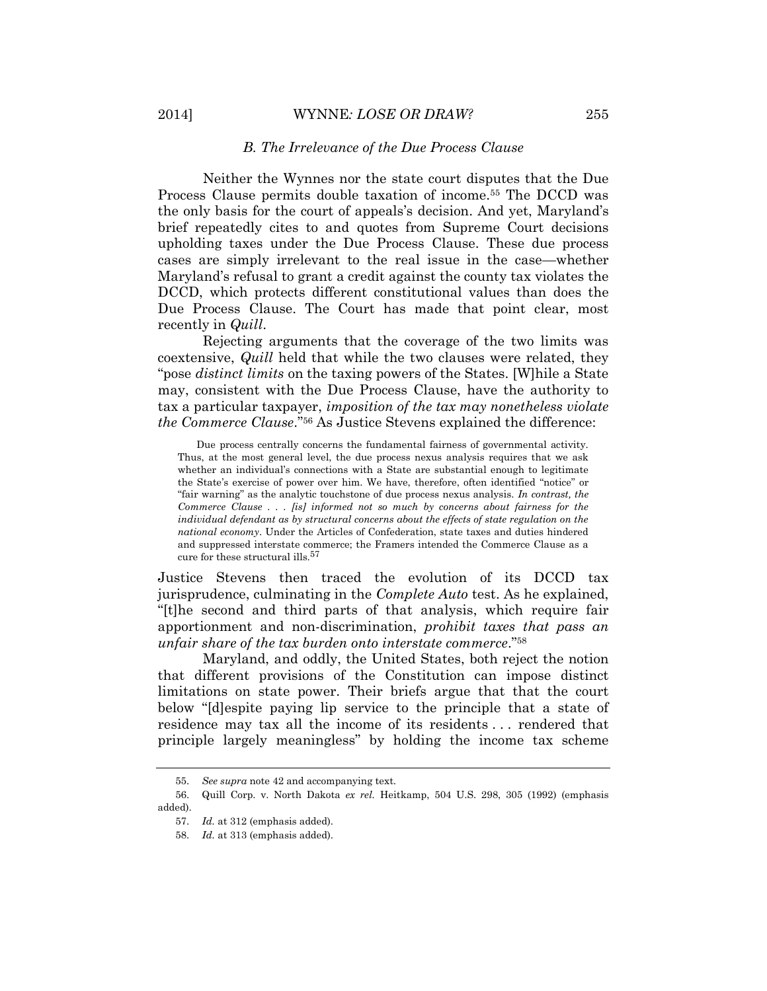#### *B. The Irrelevance of the Due Process Clause*

Neither the Wynnes nor the state court disputes that the Due Process Clause permits double taxation of income.<sup>55</sup> The DCCD was the only basis for the court of appeals's decision. And yet, Maryland's brief repeatedly cites to and quotes from Supreme Court decisions upholding taxes under the Due Process Clause. These due process cases are simply irrelevant to the real issue in the case—whether Maryland's refusal to grant a credit against the county tax violates the DCCD, which protects different constitutional values than does the Due Process Clause. The Court has made that point clear, most recently in *Quill*.

Rejecting arguments that the coverage of the two limits was coextensive, *Quill* held that while the two clauses were related, they "pose *distinct limits* on the taxing powers of the States. [W]hile a State may, consistent with the Due Process Clause, have the authority to tax a particular taxpayer, *imposition of the tax may nonetheless violate the Commerce Clause*." <sup>56</sup> As Justice Stevens explained the difference:

Due process centrally concerns the fundamental fairness of governmental activity. Thus, at the most general level, the due process nexus analysis requires that we ask whether an individual's connections with a State are substantial enough to legitimate the State's exercise of power over him. We have, therefore, often identified "notice" or "fair warning" as the analytic touchstone of due process nexus analysis. *In contrast, the Commerce Clause . . . [is] informed not so much by concerns about fairness for the individual defendant as by structural concerns about the effects of state regulation on the national economy*. Under the Articles of Confederation, state taxes and duties hindered and suppressed interstate commerce; the Framers intended the Commerce Clause as a cure for these structural ills.<sup>57</sup>

Justice Stevens then traced the evolution of its DCCD tax jurisprudence, culminating in the *Complete Auto* test. As he explained, "[t]he second and third parts of that analysis, which require fair apportionment and non-discrimination, *prohibit taxes that pass an unfair share of the tax burden onto interstate commerce*." 58

<span id="page-10-0"></span>Maryland, and oddly, the United States, both reject the notion that different provisions of the Constitution can impose distinct limitations on state power. Their briefs argue that that the court below "[d]espite paying lip service to the principle that a state of residence may tax all the income of its residents . . . rendered that principle largely meaningless" by holding the income tax scheme

<sup>55.</sup> *See supra* note 42 and accompanying text.

<sup>56.</sup> Quill Corp. v. North Dakota *ex rel.* Heitkamp, 504 U.S. 298, 305 (1992) (emphasis added).

<sup>57.</sup> *Id.* at 312 (emphasis added).

<sup>58.</sup> *Id.* at 313 (emphasis added).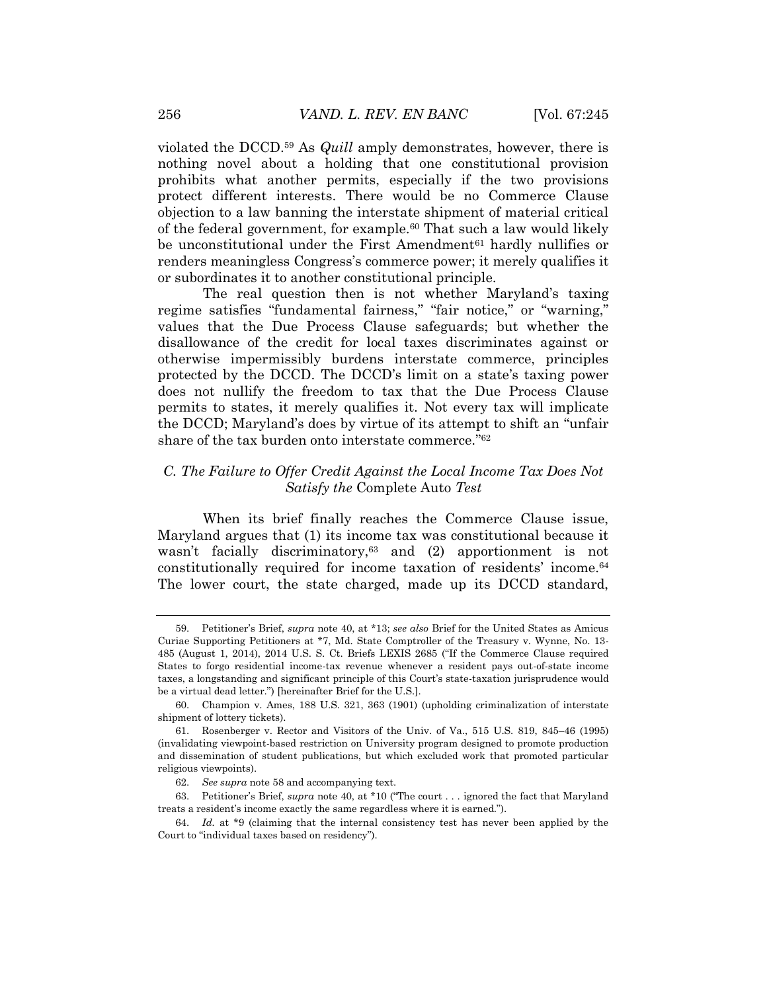violated the DCCD.<sup>59</sup> As *Quill* amply demonstrates, however, there is nothing novel about a holding that one constitutional provision prohibits what another permits, especially if the two provisions protect different interests. There would be no Commerce Clause objection to a law banning the interstate shipment of material critical of the federal government, for example.<sup>60</sup> That such a law would likely be unconstitutional under the First Amendment<sup>61</sup> hardly nullifies or renders meaningless Congress's commerce power; it merely qualifies it or subordinates it to another constitutional principle.

The real question then is not whether Maryland's taxing regime satisfies "fundamental fairness," "fair notice," or "warning," values that the Due Process Clause safeguards; but whether the disallowance of the credit for local taxes discriminates against or otherwise impermissibly burdens interstate commerce, principles protected by the DCCD. The DCCD's limit on a state's taxing power does not nullify the freedom to tax that the Due Process Clause permits to states, it merely qualifies it. Not every tax will implicate the DCCD; Maryland's does by virtue of its attempt to shift an "unfair share of the tax burden onto interstate commerce." 62

# *C. The Failure to Offer Credit Against the Local Income Tax Does Not Satisfy the* Complete Auto *Test*

When its brief finally reaches the Commerce Clause issue, Maryland argues that (1) its income tax was constitutional because it wasn't facially discriminatory, <sup>63</sup> and (2) apportionment is not constitutionally required for income taxation of residents' income.<sup>64</sup> The lower court, the state charged, made up its DCCD standard,

<sup>59.</sup> Petitioner's Brief, *supra* note 40, at \*13; *see also* Brief for the United States as Amicus Curiae Supporting Petitioners at \*7, Md. State Comptroller of the Treasury v. Wynne, No. 13- 485 (August 1, 2014), 2014 U.S. S. Ct. Briefs LEXIS 2685 ("If the Commerce Clause required States to forgo residential income-tax revenue whenever a resident pays out-of-state income taxes, a longstanding and significant principle of this Court's state-taxation jurisprudence would be a virtual dead letter.") [hereinafter Brief for the U.S.].

<sup>60.</sup> Champion v. Ames, 188 U.S. 321, 363 (1901) (upholding criminalization of interstate shipment of lottery tickets).

<sup>61.</sup> Rosenberger v. Rector and Visitors of the Univ. of Va., 515 U.S. 819, 845–46 (1995) (invalidating viewpoint-based restriction on University program designed to promote production and dissemination of student publications, but which excluded work that promoted particular religious viewpoints).

<sup>62.</sup> *See supra* note [58](#page-10-0) and accompanying text.

<sup>63.</sup> Petitioner's Brief, *supra* note 40, at \*10 ("The court . . . ignored the fact that Maryland treats a resident's income exactly the same regardless where it is earned.").

<sup>64.</sup> *Id.* at \*9 (claiming that the internal consistency test has never been applied by the Court to "individual taxes based on residency").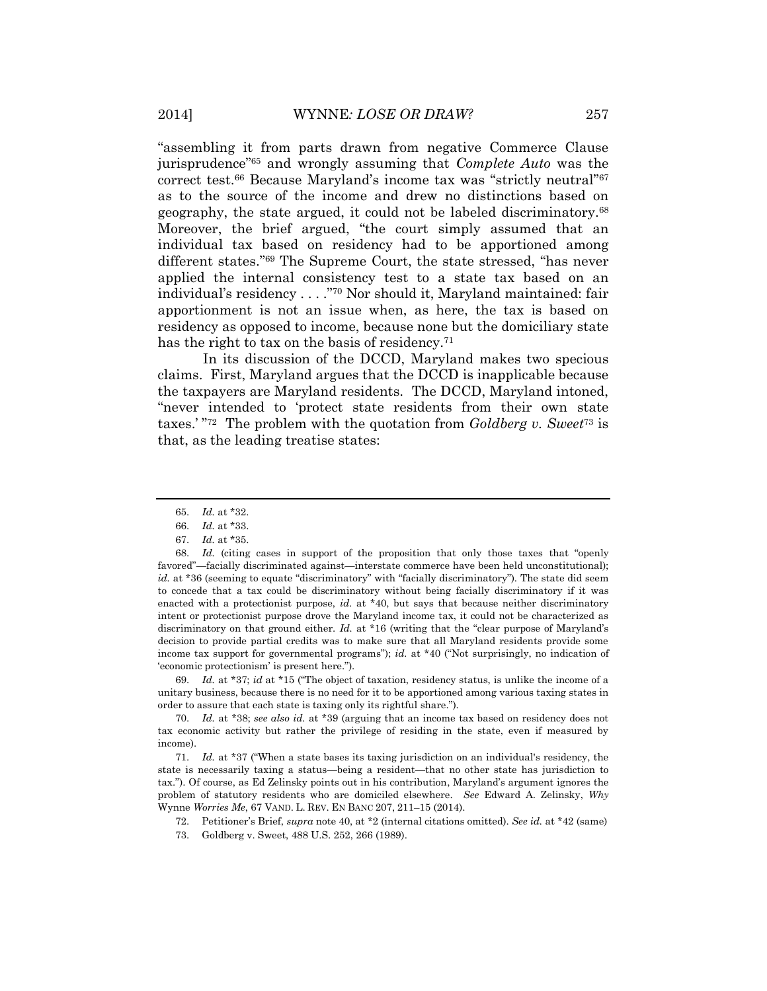"assembling it from parts drawn from negative Commerce Clause jurisprudence" <sup>65</sup> and wrongly assuming that *Complete Auto* was the correct test.<sup>66</sup> Because Maryland's income tax was "strictly neutral" 67 as to the source of the income and drew no distinctions based on geography, the state argued, it could not be labeled discriminatory.<sup>68</sup> Moreover, the brief argued, "the court simply assumed that an individual tax based on residency had to be apportioned among different states." <sup>69</sup> The Supreme Court, the state stressed, "has never applied the internal consistency test to a state tax based on an individual's residency . . . ."<sup>70</sup> Nor should it, Maryland maintained: fair apportionment is not an issue when, as here, the tax is based on residency as opposed to income, because none but the domiciliary state has the right to tax on the basis of residency.<sup>71</sup>

In its discussion of the DCCD, Maryland makes two specious claims. First, Maryland argues that the DCCD is inapplicable because the taxpayers are Maryland residents. The DCCD, Maryland intoned, "never intended to 'protect state residents from their own state taxes.' " 72 The problem with the quotation from *Goldberg v. Sweet*<sup>73</sup> is that, as the leading treatise states:

69. *Id.* at \*37; *id* at \*15 ("The object of taxation, residency status, is unlike the income of a unitary business, because there is no need for it to be apportioned among various taxing states in order to assure that each state is taxing only its rightful share.").

70. *Id.* at \*38; *see also id.* at \*39 (arguing that an income tax based on residency does not tax economic activity but rather the privilege of residing in the state, even if measured by income).

72. Petitioner's Brief, *supra* not[e 40,](#page-7-0) at \*2 (internal citations omitted). *See id.* at \*42 (same)

<sup>65.</sup> *Id.* at \*32.

<sup>66.</sup> *Id.* at \*33.

<sup>67.</sup> *Id.* at \*35.

<sup>68.</sup> *Id.* (citing cases in support of the proposition that only those taxes that "openly favored"—facially discriminated against—interstate commerce have been held unconstitutional); *id.* at \*36 (seeming to equate "discriminatory" with "facially discriminatory"). The state did seem to concede that a tax could be discriminatory without being facially discriminatory if it was enacted with a protectionist purpose, *id.* at \*40, but says that because neither discriminatory intent or protectionist purpose drove the Maryland income tax, it could not be characterized as discriminatory on that ground either. *Id.* at \*16 (writing that the "clear purpose of Maryland's decision to provide partial credits was to make sure that all Maryland residents provide some income tax support for governmental programs"); *id.* at \*40 ("Not surprisingly, no indication of 'economic protectionism' is present here.").

<sup>71.</sup> *Id.* at \*37 ("When a state bases its taxing jurisdiction on an individual's residency, the state is necessarily taxing a status—being a resident—that no other state has jurisdiction to tax."). Of course, as Ed Zelinsky points out in his contribution, Maryland's argument ignores the problem of statutory residents who are domiciled elsewhere. *See* Edward A. Zelinsky, *Why*  Wynne *Worries Me*, 67 VAND. L. REV. EN BANC 207, 211–15 (2014).

<sup>73.</sup> Goldberg v. Sweet, 488 U.S. 252, 266 (1989).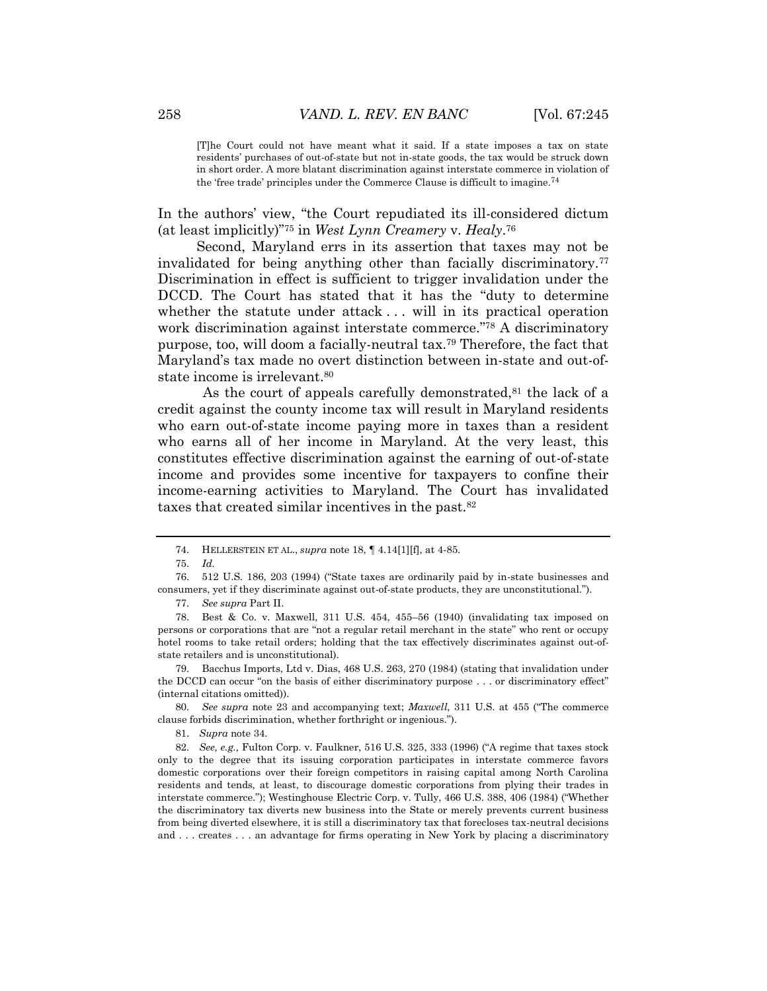[T]he Court could not have meant what it said. If a state imposes a tax on state residents' purchases of out-of-state but not in-state goods, the tax would be struck down in short order. A more blatant discrimination against interstate commerce in violation of the 'free trade' principles under the Commerce Clause is difficult to imagine.<sup>74</sup>

In the authors' view, "the Court repudiated its ill-considered dictum (at least implicitly)"<sup>75</sup> in *West Lynn Creamery* v. *Healy*. 76

Second, Maryland errs in its assertion that taxes may not be invalidated for being anything other than facially discriminatory.<sup>77</sup> Discrimination in effect is sufficient to trigger invalidation under the DCCD. The Court has stated that it has the "duty to determine whether the statute under attack ... will in its practical operation work discrimination against interstate commerce." <sup>78</sup> A discriminatory purpose, too, will doom a facially-neutral tax.<sup>79</sup> Therefore, the fact that Maryland's tax made no overt distinction between in-state and out-ofstate income is irrelevant.<sup>80</sup>

As the court of appeals carefully demonstrated,<sup>81</sup> the lack of a credit against the county income tax will result in Maryland residents who earn out-of-state income paying more in taxes than a resident who earns all of her income in Maryland. At the very least, this constitutes effective discrimination against the earning of out-of-state income and provides some incentive for taxpayers to confine their income-earning activities to Maryland. The Court has invalidated taxes that created similar incentives in the past.<sup>82</sup>

81. *Supra* not[e 34.](#page-6-0)

<sup>74.</sup> HELLERSTEIN ET AL., *supra* not[e 18,](#page-3-0) ¶ 4.14[1][f], at 4-85.

<sup>75.</sup> *Id.*

<sup>76.</sup> 512 U.S. 186, 203 (1994) ("State taxes are ordinarily paid by in-state businesses and consumers, yet if they discriminate against out-of-state products, they are unconstitutional.").

<sup>77.</sup> *See supra* Part II.

<sup>78.</sup> Best & Co. v. Maxwell, 311 U.S. 454, 455–56 (1940) (invalidating tax imposed on persons or corporations that are "not a regular retail merchant in the state" who rent or occupy hotel rooms to take retail orders; holding that the tax effectively discriminates against out-ofstate retailers and is unconstitutional).

<sup>79.</sup> Bacchus Imports, Ltd v. Dias, 468 U.S. 263, 270 (1984) (stating that invalidation under the DCCD can occur "on the basis of either discriminatory purpose . . . or discriminatory effect" (internal citations omitted)).

<sup>80.</sup> *See supra* note 23 and accompanying text; *Maxwell*, 311 U.S. at 455 ("The commerce clause forbids discrimination, whether forthright or ingenious.").

<sup>82.</sup> *See, e.g.,* Fulton Corp. v. Faulkner, 516 U.S. 325, 333 (1996) ("A regime that taxes stock only to the degree that its issuing corporation participates in interstate commerce favors domestic corporations over their foreign competitors in raising capital among North Carolina residents and tends, at least, to discourage domestic corporations from plying their trades in interstate commerce."); Westinghouse Electric Corp. v. Tully, 466 U.S. 388, 406 (1984) ("Whether the discriminatory tax diverts new business into the State or merely prevents current business from being diverted elsewhere, it is still a discriminatory tax that forecloses tax-neutral decisions and . . . creates . . . an advantage for firms operating in New York by placing a discriminatory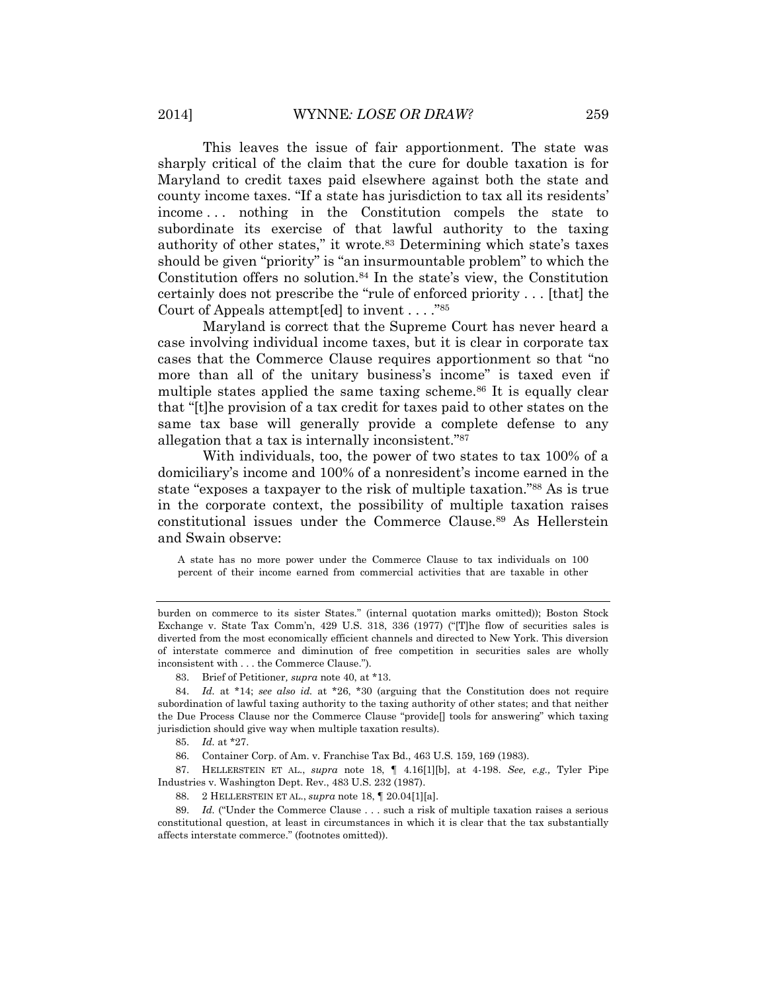This leaves the issue of fair apportionment. The state was sharply critical of the claim that the cure for double taxation is for Maryland to credit taxes paid elsewhere against both the state and county income taxes. "If a state has jurisdiction to tax all its residents' income . . . nothing in the Constitution compels the state to subordinate its exercise of that lawful authority to the taxing authority of other states," it wrote.<sup>83</sup> Determining which state's taxes should be given "priority" is "an insurmountable problem" to which the Constitution offers no solution.<sup>84</sup> In the state's view, the Constitution certainly does not prescribe the "rule of enforced priority . . . [that] the Court of Appeals attempt[ed] to invent . . . ."<sup>85</sup>

Maryland is correct that the Supreme Court has never heard a case involving individual income taxes, but it is clear in corporate tax cases that the Commerce Clause requires apportionment so that "no more than all of the unitary business's income" is taxed even if multiple states applied the same taxing scheme.<sup>86</sup> It is equally clear that "[t]he provision of a tax credit for taxes paid to other states on the same tax base will generally provide a complete defense to any allegation that a tax is internally inconsistent." 87

With individuals, too, the power of two states to tax 100% of a domiciliary's income and 100% of a nonresident's income earned in the state "exposes a taxpayer to the risk of multiple taxation." <sup>88</sup> As is true in the corporate context, the possibility of multiple taxation raises constitutional issues under the Commerce Clause.<sup>89</sup> As Hellerstein and Swain observe:

A state has no more power under the Commerce Clause to tax individuals on 100 percent of their income earned from commercial activities that are taxable in other

87. HELLERSTEIN ET AL., *supra* note [18,](#page-3-0) ¶ 4.16[1][b], at 4-198. *See, e.g.,* Tyler Pipe Industries v. Washington Dept. Rev., 483 U.S. 232 (1987).

88. 2 HELLERSTEIN ET AL., *supra* note [18,](#page-3-0) ¶ 20.04[1][a].

89. *Id.* ("Under the Commerce Clause . . . such a risk of multiple taxation raises a serious constitutional question, at least in circumstances in which it is clear that the tax substantially affects interstate commerce." (footnotes omitted)).

burden on commerce to its sister States." (internal quotation marks omitted)); Boston Stock Exchange v. State Tax Comm'n, 429 U.S. 318, 336 (1977) ("[T]he flow of securities sales is diverted from the most economically efficient channels and directed to New York. This diversion of interstate commerce and diminution of free competition in securities sales are wholly inconsistent with . . . the Commerce Clause.").

<sup>83.</sup> Brief of Petitioner*, supra* note 40, at \*13.

<sup>84.</sup> *Id.* at \*14; *see also id.* at \*26, \*30 (arguing that the Constitution does not require subordination of lawful taxing authority to the taxing authority of other states; and that neither the Due Process Clause nor the Commerce Clause "provide[] tools for answering" which taxing jurisdiction should give way when multiple taxation results).

<sup>85.</sup> *Id.* at \*27.

<sup>86.</sup> Container Corp. of Am. v. Franchise Tax Bd., 463 U.S. 159, 169 (1983).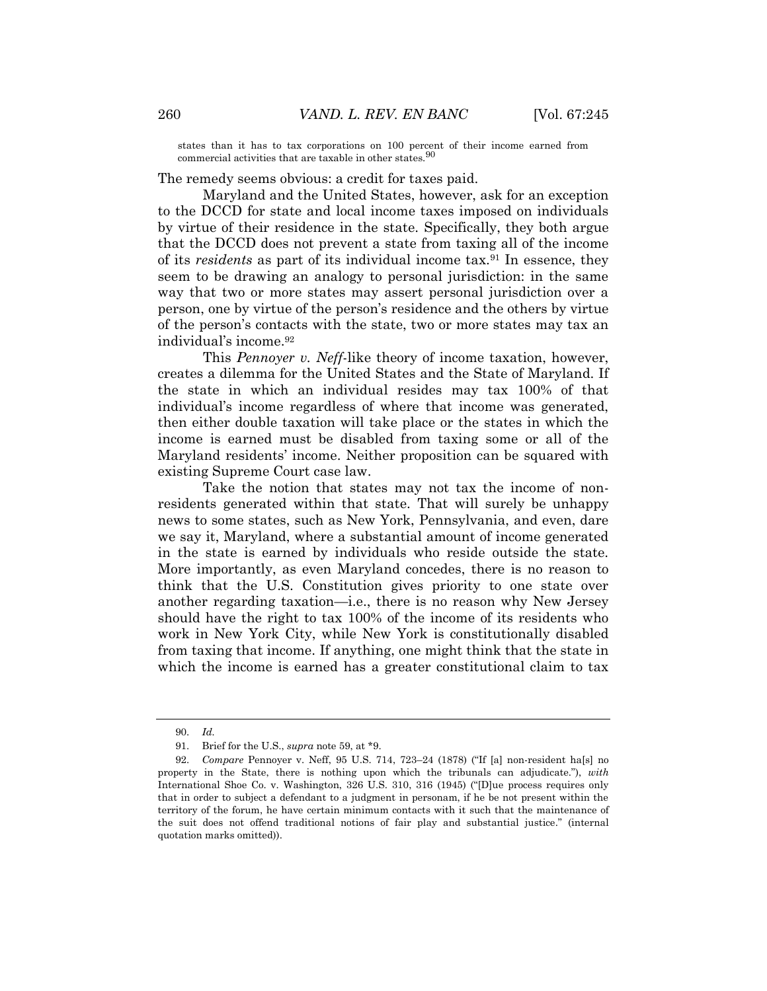states than it has to tax corporations on 100 percent of their income earned from commercial activities that are taxable in other states.  $^{90}$ 

The remedy seems obvious: a credit for taxes paid.

Maryland and the United States, however, ask for an exception to the DCCD for state and local income taxes imposed on individuals by virtue of their residence in the state. Specifically, they both argue that the DCCD does not prevent a state from taxing all of the income of its *residents* as part of its individual income tax.<sup>91</sup> In essence, they seem to be drawing an analogy to personal jurisdiction: in the same way that two or more states may assert personal jurisdiction over a person, one by virtue of the person's residence and the others by virtue of the person's contacts with the state, two or more states may tax an individual's income.<sup>92</sup>

This *Pennoyer v. Neff*-like theory of income taxation, however, creates a dilemma for the United States and the State of Maryland. If the state in which an individual resides may tax 100% of that individual's income regardless of where that income was generated, then either double taxation will take place or the states in which the income is earned must be disabled from taxing some or all of the Maryland residents' income. Neither proposition can be squared with existing Supreme Court case law.

Take the notion that states may not tax the income of nonresidents generated within that state. That will surely be unhappy news to some states, such as New York, Pennsylvania, and even, dare we say it, Maryland, where a substantial amount of income generated in the state is earned by individuals who reside outside the state. More importantly, as even Maryland concedes, there is no reason to think that the U.S. Constitution gives priority to one state over another regarding taxation—i.e., there is no reason why New Jersey should have the right to tax 100% of the income of its residents who work in New York City, while New York is constitutionally disabled from taxing that income. If anything, one might think that the state in which the income is earned has a greater constitutional claim to tax

<sup>90.</sup> *Id.*

<sup>91.</sup> Brief for the U.S., *supra* note 59, at \*9.

<sup>92.</sup> *Compare* Pennoyer v. Neff, 95 U.S. 714, 723–24 (1878) ("If [a] non-resident ha[s] no property in the State, there is nothing upon which the tribunals can adjudicate."), *with* International Shoe Co. v. Washington, 326 U.S. 310, 316 (1945) ("[D]ue process requires only that in order to subject a defendant to a judgment in personam, if he be not present within the territory of the forum, he have certain minimum contacts with it such that the maintenance of the suit does not offend traditional notions of fair play and substantial justice." (internal quotation marks omitted)).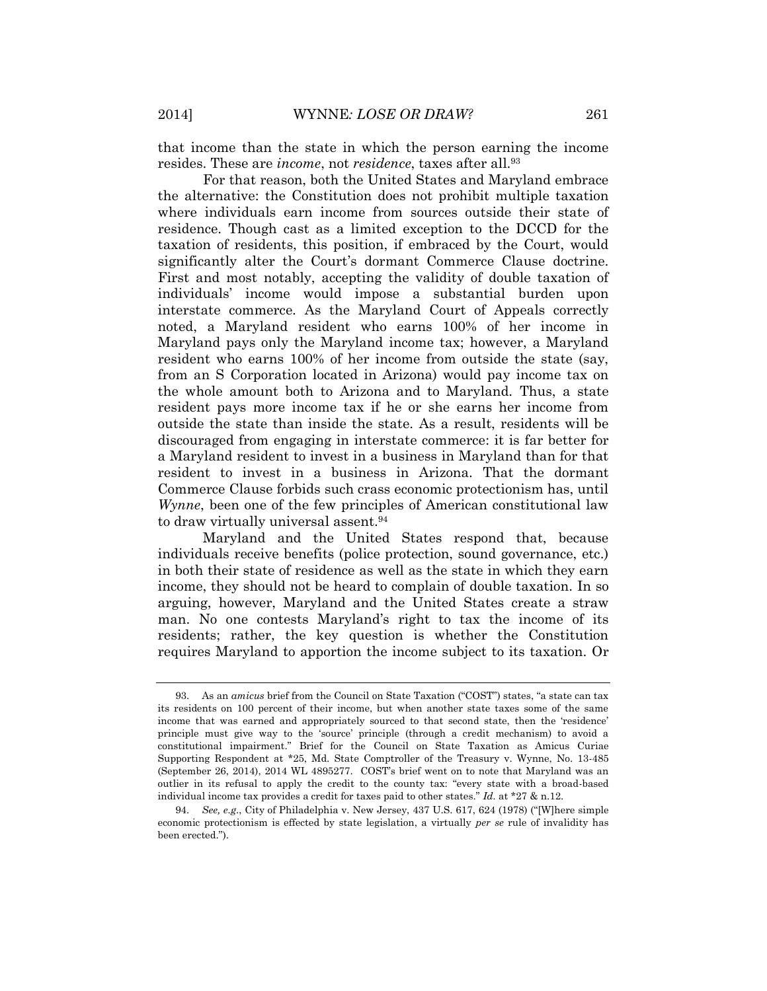that income than the state in which the person earning the income resides. These are *income*, not *residence*, taxes after all.<sup>93</sup>

For that reason, both the United States and Maryland embrace the alternative: the Constitution does not prohibit multiple taxation where individuals earn income from sources outside their state of residence. Though cast as a limited exception to the DCCD for the taxation of residents, this position, if embraced by the Court, would significantly alter the Court's dormant Commerce Clause doctrine. First and most notably, accepting the validity of double taxation of individuals' income would impose a substantial burden upon interstate commerce. As the Maryland Court of Appeals correctly noted, a Maryland resident who earns 100% of her income in Maryland pays only the Maryland income tax; however, a Maryland resident who earns 100% of her income from outside the state (say, from an S Corporation located in Arizona) would pay income tax on the whole amount both to Arizona and to Maryland. Thus, a state resident pays more income tax if he or she earns her income from outside the state than inside the state. As a result, residents will be discouraged from engaging in interstate commerce: it is far better for a Maryland resident to invest in a business in Maryland than for that resident to invest in a business in Arizona. That the dormant Commerce Clause forbids such crass economic protectionism has, until *Wynne*, been one of the few principles of American constitutional law to draw virtually universal assent.<sup>94</sup>

Maryland and the United States respond that, because individuals receive benefits (police protection, sound governance, etc.) in both their state of residence as well as the state in which they earn income, they should not be heard to complain of double taxation. In so arguing, however, Maryland and the United States create a straw man. No one contests Maryland's right to tax the income of its residents; rather, the key question is whether the Constitution requires Maryland to apportion the income subject to its taxation. Or

<sup>93.</sup> As an *amicus* brief from the Council on State Taxation ("COST") states, "a state can tax its residents on 100 percent of their income, but when another state taxes some of the same income that was earned and appropriately sourced to that second state, then the 'residence' principle must give way to the 'source' principle (through a credit mechanism) to avoid a constitutional impairment." Brief for the Council on State Taxation as Amicus Curiae Supporting Respondent at \*25, Md. State Comptroller of the Treasury v. Wynne, No. 13-485 (September 26, 2014), 2014 WL 4895277. COST's brief went on to note that Maryland was an outlier in its refusal to apply the credit to the county tax: "every state with a broad-based individual income tax provides a credit for taxes paid to other states." *Id.* at \*27 & n.12.

<sup>94.</sup> *See, e.g*., City of Philadelphia v. New Jersey, 437 U.S. 617, 624 (1978) ("[W]here simple economic protectionism is effected by state legislation, a virtually *per se* rule of invalidity has been erected.").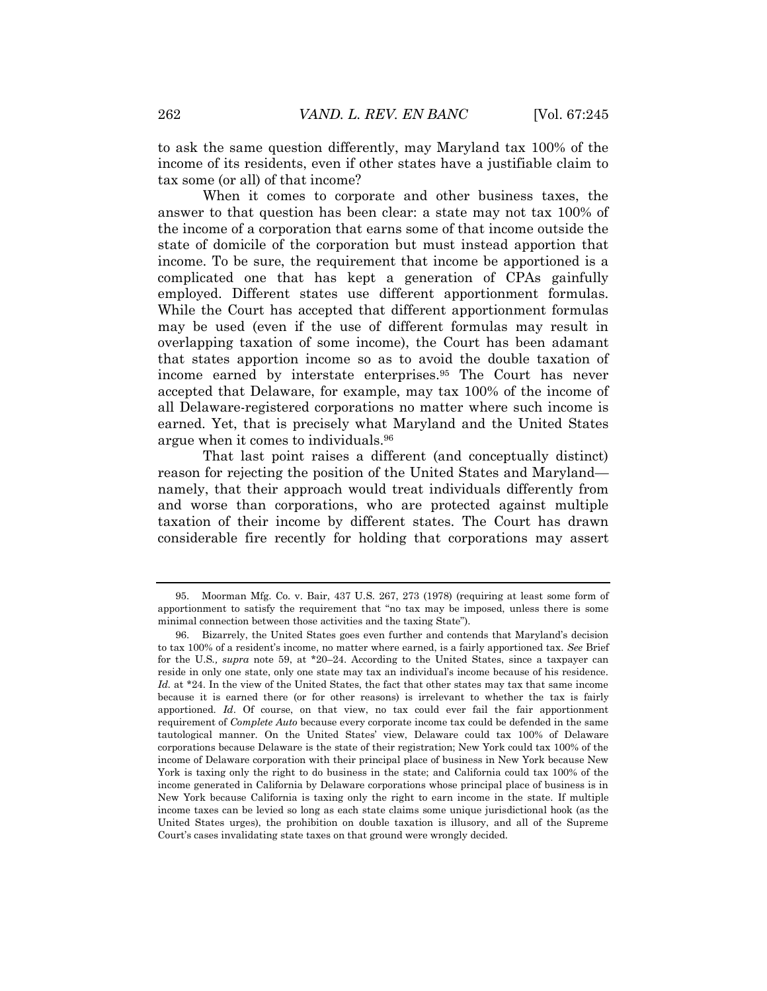to ask the same question differently, may Maryland tax 100% of the income of its residents, even if other states have a justifiable claim to tax some (or all) of that income?

When it comes to corporate and other business taxes, the answer to that question has been clear: a state may not tax 100% of the income of a corporation that earns some of that income outside the state of domicile of the corporation but must instead apportion that income. To be sure, the requirement that income be apportioned is a complicated one that has kept a generation of CPAs gainfully employed. Different states use different apportionment formulas. While the Court has accepted that different apportionment formulas may be used (even if the use of different formulas may result in overlapping taxation of some income), the Court has been adamant that states apportion income so as to avoid the double taxation of income earned by interstate enterprises.<sup>95</sup> The Court has never accepted that Delaware, for example, may tax 100% of the income of all Delaware-registered corporations no matter where such income is earned. Yet, that is precisely what Maryland and the United States argue when it comes to individuals.<sup>96</sup>

That last point raises a different (and conceptually distinct) reason for rejecting the position of the United States and Maryland namely, that their approach would treat individuals differently from and worse than corporations, who are protected against multiple taxation of their income by different states. The Court has drawn considerable fire recently for holding that corporations may assert

<sup>95.</sup> Moorman Mfg. Co. v. Bair, 437 U.S. 267, 273 (1978) (requiring at least some form of apportionment to satisfy the requirement that "no tax may be imposed, unless there is some minimal connection between those activities and the taxing State").

<sup>96.</sup> Bizarrely, the United States goes even further and contends that Maryland's decision to tax 100% of a resident's income, no matter where earned, is a fairly apportioned tax. *See* Brief for the U.S*., supra* note 59, at \*20–24. According to the United States, since a taxpayer can reside in only one state, only one state may tax an individual's income because of his residence. Id. at \*24. In the view of the United States, the fact that other states may tax that same income because it is earned there (or for other reasons) is irrelevant to whether the tax is fairly apportioned. *Id*. Of course, on that view, no tax could ever fail the fair apportionment requirement of *Complete Auto* because every corporate income tax could be defended in the same tautological manner. On the United States' view, Delaware could tax 100% of Delaware corporations because Delaware is the state of their registration; New York could tax 100% of the income of Delaware corporation with their principal place of business in New York because New York is taxing only the right to do business in the state; and California could tax 100% of the income generated in California by Delaware corporations whose principal place of business is in New York because California is taxing only the right to earn income in the state. If multiple income taxes can be levied so long as each state claims some unique jurisdictional hook (as the United States urges), the prohibition on double taxation is illusory, and all of the Supreme Court's cases invalidating state taxes on that ground were wrongly decided.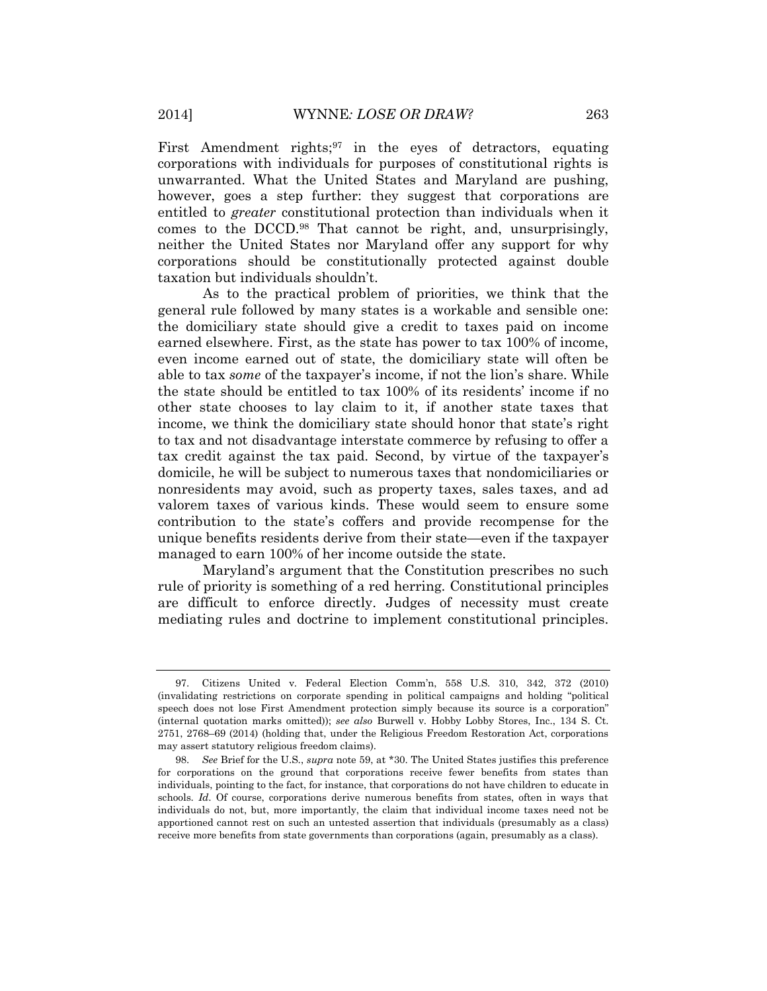First Amendment rights;<sup>97</sup> in the eyes of detractors, equating corporations with individuals for purposes of constitutional rights is unwarranted. What the United States and Maryland are pushing, however, goes a step further: they suggest that corporations are entitled to *greater* constitutional protection than individuals when it comes to the DCCD.<sup>98</sup> That cannot be right, and, unsurprisingly, neither the United States nor Maryland offer any support for why corporations should be constitutionally protected against double taxation but individuals shouldn't.

As to the practical problem of priorities, we think that the general rule followed by many states is a workable and sensible one: the domiciliary state should give a credit to taxes paid on income earned elsewhere. First, as the state has power to tax 100% of income, even income earned out of state, the domiciliary state will often be able to tax *some* of the taxpayer's income, if not the lion's share. While the state should be entitled to tax 100% of its residents' income if no other state chooses to lay claim to it, if another state taxes that income, we think the domiciliary state should honor that state's right to tax and not disadvantage interstate commerce by refusing to offer a tax credit against the tax paid. Second, by virtue of the taxpayer's domicile, he will be subject to numerous taxes that nondomiciliaries or nonresidents may avoid, such as property taxes, sales taxes, and ad valorem taxes of various kinds. These would seem to ensure some contribution to the state's coffers and provide recompense for the unique benefits residents derive from their state—even if the taxpayer managed to earn 100% of her income outside the state.

Maryland's argument that the Constitution prescribes no such rule of priority is something of a red herring. Constitutional principles are difficult to enforce directly. Judges of necessity must create mediating rules and doctrine to implement constitutional principles.

<sup>97.</sup> Citizens United v. Federal Election Comm'n, 558 U.S. 310, 342, 372 (2010) (invalidating restrictions on corporate spending in political campaigns and holding "political speech does not lose First Amendment protection simply because its source is a corporation" (internal quotation marks omitted)); *see also* Burwell v. Hobby Lobby Stores, Inc., 134 S. Ct. 2751, 2768–69 (2014) (holding that, under the Religious Freedom Restoration Act, corporations may assert statutory religious freedom claims).

<sup>98.</sup> *See* Brief for the U.S., *supra* note 59, at \*30. The United States justifies this preference for corporations on the ground that corporations receive fewer benefits from states than individuals, pointing to the fact, for instance, that corporations do not have children to educate in schools. *Id*. Of course, corporations derive numerous benefits from states, often in ways that individuals do not, but, more importantly, the claim that individual income taxes need not be apportioned cannot rest on such an untested assertion that individuals (presumably as a class) receive more benefits from state governments than corporations (again, presumably as a class).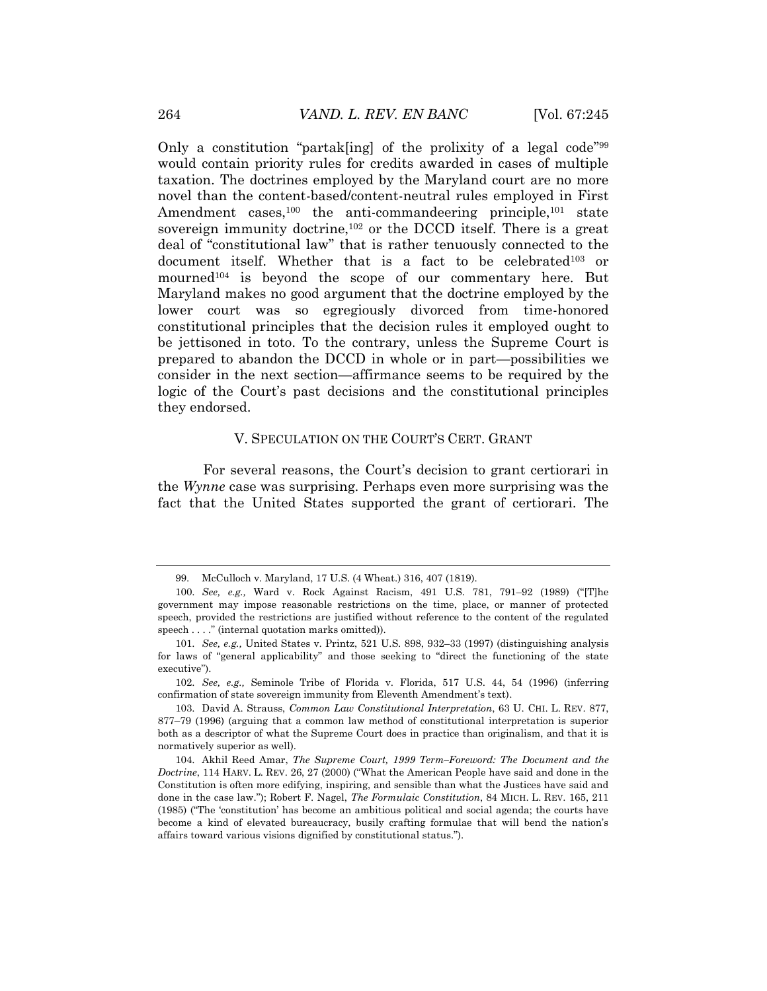Only a constitution "partak[ing] of the prolixity of a legal code"<sup>99</sup> would contain priority rules for credits awarded in cases of multiple taxation. The doctrines employed by the Maryland court are no more novel than the content-based/content-neutral rules employed in First Amendment cases,<sup>100</sup> the anti-commandeering principle,<sup>101</sup> state sovereign immunity doctrine,<sup>102</sup> or the DCCD itself. There is a great deal of "constitutional law" that is rather tenuously connected to the document itself. Whether that is a fact to be celebrated<sup>103</sup> or mourned<sup>104</sup> is beyond the scope of our commentary here. But Maryland makes no good argument that the doctrine employed by the lower court was so egregiously divorced from time-honored constitutional principles that the decision rules it employed ought to be jettisoned in toto. To the contrary, unless the Supreme Court is prepared to abandon the DCCD in whole or in part—possibilities we consider in the next section—affirmance seems to be required by the logic of the Court's past decisions and the constitutional principles they endorsed.

#### V. SPECULATION ON THE COURT'S CERT. GRANT

For several reasons, the Court's decision to grant certiorari in the *Wynne* case was surprising. Perhaps even more surprising was the fact that the United States supported the grant of certiorari. The

102. *See, e.g.,* Seminole Tribe of Florida v. Florida, 517 U.S. 44, 54 (1996) (inferring confirmation of state sovereign immunity from Eleventh Amendment's text).

<sup>99.</sup> McCulloch v. Maryland, 17 U.S. (4 Wheat.) 316, 407 (1819).

<sup>100.</sup> *See, e.g.,* Ward v. Rock Against Racism, 491 U.S. 781, 791–92 (1989) ("[T]he government may impose reasonable restrictions on the time, place, or manner of protected speech, provided the restrictions are justified without reference to the content of the regulated speech . . . ." (internal quotation marks omitted)).

<sup>101.</sup> *See, e.g.,* United States v. Printz, 521 U.S. 898, 932–33 (1997) (distinguishing analysis for laws of "general applicability" and those seeking to "direct the functioning of the state executive").

<sup>103.</sup> David A. Strauss, *Common Law Constitutional Interpretation*, 63 U. CHI. L. REV. 877, 877–79 (1996) (arguing that a common law method of constitutional interpretation is superior both as a descriptor of what the Supreme Court does in practice than originalism, and that it is normatively superior as well).

<sup>104.</sup> Akhil Reed Amar, *The Supreme Court, 1999 Term–Foreword: The Document and the Doctrine*, 114 HARV. L. REV. 26, 27 (2000) ("What the American People have said and done in the Constitution is often more edifying, inspiring, and sensible than what the Justices have said and done in the case law."); Robert F. Nagel, *The Formulaic Constitution*, 84 MICH. L. REV. 165, 211 (1985) ("The 'constitution' has become an ambitious political and social agenda; the courts have become a kind of elevated bureaucracy, busily crafting formulae that will bend the nation's affairs toward various visions dignified by constitutional status.").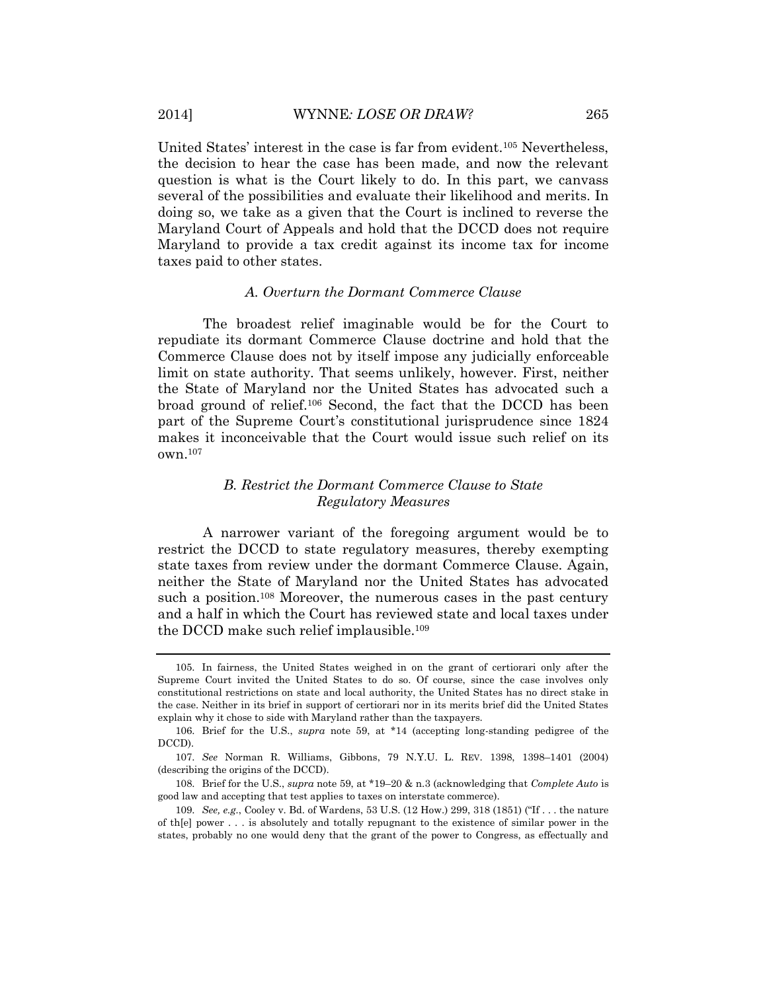United States' interest in the case is far from evident.<sup>105</sup> Nevertheless, the decision to hear the case has been made, and now the relevant question is what is the Court likely to do. In this part, we canvass several of the possibilities and evaluate their likelihood and merits. In doing so, we take as a given that the Court is inclined to reverse the Maryland Court of Appeals and hold that the DCCD does not require Maryland to provide a tax credit against its income tax for income taxes paid to other states.

#### *A. Overturn the Dormant Commerce Clause*

The broadest relief imaginable would be for the Court to repudiate its dormant Commerce Clause doctrine and hold that the Commerce Clause does not by itself impose any judicially enforceable limit on state authority. That seems unlikely, however. First, neither the State of Maryland nor the United States has advocated such a broad ground of relief. <sup>106</sup> Second, the fact that the DCCD has been part of the Supreme Court's constitutional jurisprudence since 1824 makes it inconceivable that the Court would issue such relief on its own.<sup>107</sup>

## *B. Restrict the Dormant Commerce Clause to State Regulatory Measures*

A narrower variant of the foregoing argument would be to restrict the DCCD to state regulatory measures, thereby exempting state taxes from review under the dormant Commerce Clause. Again, neither the State of Maryland nor the United States has advocated such a position. <sup>108</sup> Moreover, the numerous cases in the past century and a half in which the Court has reviewed state and local taxes under the DCCD make such relief implausible.<sup>109</sup>

<sup>105.</sup> In fairness, the United States weighed in on the grant of certiorari only after the Supreme Court invited the United States to do so. Of course, since the case involves only constitutional restrictions on state and local authority, the United States has no direct stake in the case. Neither in its brief in support of certiorari nor in its merits brief did the United States explain why it chose to side with Maryland rather than the taxpayers.

<sup>106.</sup> Brief for the U.S., *supra* note 59, at \*14 (accepting long-standing pedigree of the DCCD).

<sup>107.</sup> *See* Norman R. Williams, Gibbons, 79 N.Y.U. L. REV. 1398, 1398–1401 (2004) (describing the origins of the DCCD).

<sup>108.</sup> Brief for the U.S., *supra* note 59, at \*19–20 & n.3 (acknowledging that *Complete Auto* is good law and accepting that test applies to taxes on interstate commerce).

<sup>109.</sup> *See, e.g.*, Cooley v. Bd. of Wardens, 53 U.S. (12 How.) 299, 318 (1851) ("If . . . the nature of th[e] power . . . is absolutely and totally repugnant to the existence of similar power in the states, probably no one would deny that the grant of the power to Congress, as effectually and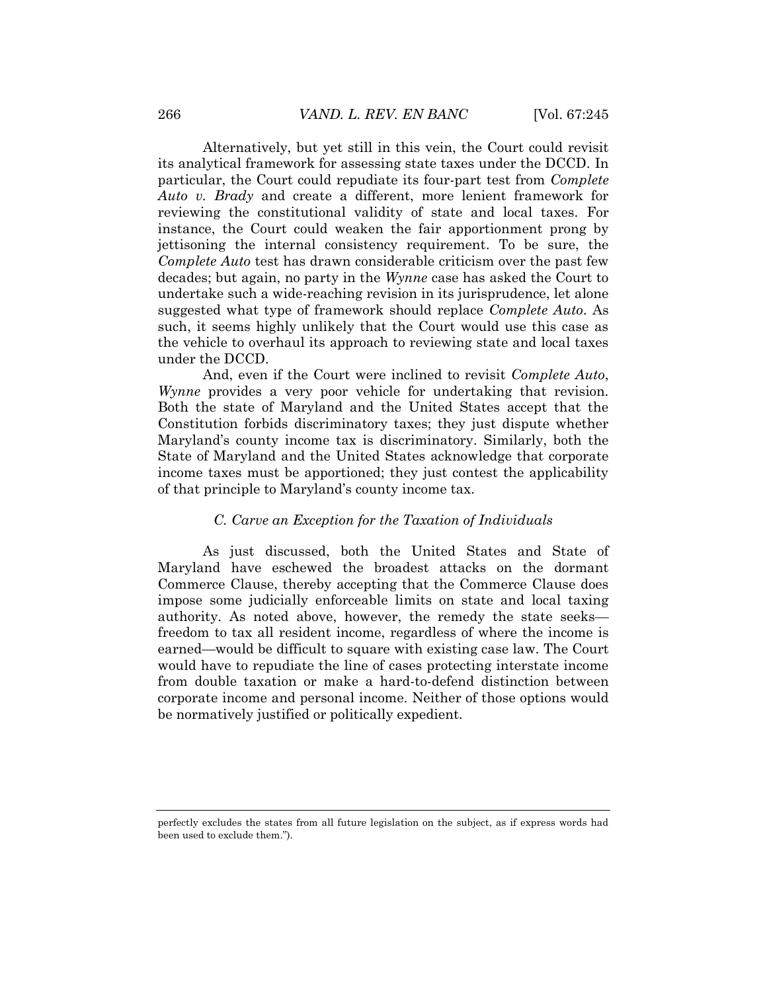Alternatively, but yet still in this vein, the Court could revisit its analytical framework for assessing state taxes under the DCCD. In particular, the Court could repudiate its four-part test from *Complete Auto v. Brady* and create a different, more lenient framework for reviewing the constitutional validity of state and local taxes. For instance, the Court could weaken the fair apportionment prong by jettisoning the internal consistency requirement. To be sure, the *Complete Auto* test has drawn considerable criticism over the past few decades; but again, no party in the *Wynne* case has asked the Court to undertake such a wide-reaching revision in its jurisprudence, let alone suggested what type of framework should replace *Complete Auto*. As such, it seems highly unlikely that the Court would use this case as the vehicle to overhaul its approach to reviewing state and local taxes under the DCCD.

And, even if the Court were inclined to revisit *Complete Auto*, *Wynne* provides a very poor vehicle for undertaking that revision. Both the state of Maryland and the United States accept that the Constitution forbids discriminatory taxes; they just dispute whether Maryland's county income tax is discriminatory. Similarly, both the State of Maryland and the United States acknowledge that corporate income taxes must be apportioned; they just contest the applicability of that principle to Maryland's county income tax.

## *C. Carve an Exception for the Taxation of Individuals*

As just discussed, both the United States and State of Maryland have eschewed the broadest attacks on the dormant Commerce Clause, thereby accepting that the Commerce Clause does impose some judicially enforceable limits on state and local taxing authority. As noted above, however, the remedy the state seeks freedom to tax all resident income, regardless of where the income is earned—would be difficult to square with existing case law. The Court would have to repudiate the line of cases protecting interstate income from double taxation or make a hard-to-defend distinction between corporate income and personal income. Neither of those options would be normatively justified or politically expedient.

perfectly excludes the states from all future legislation on the subject, as if express words had been used to exclude them.").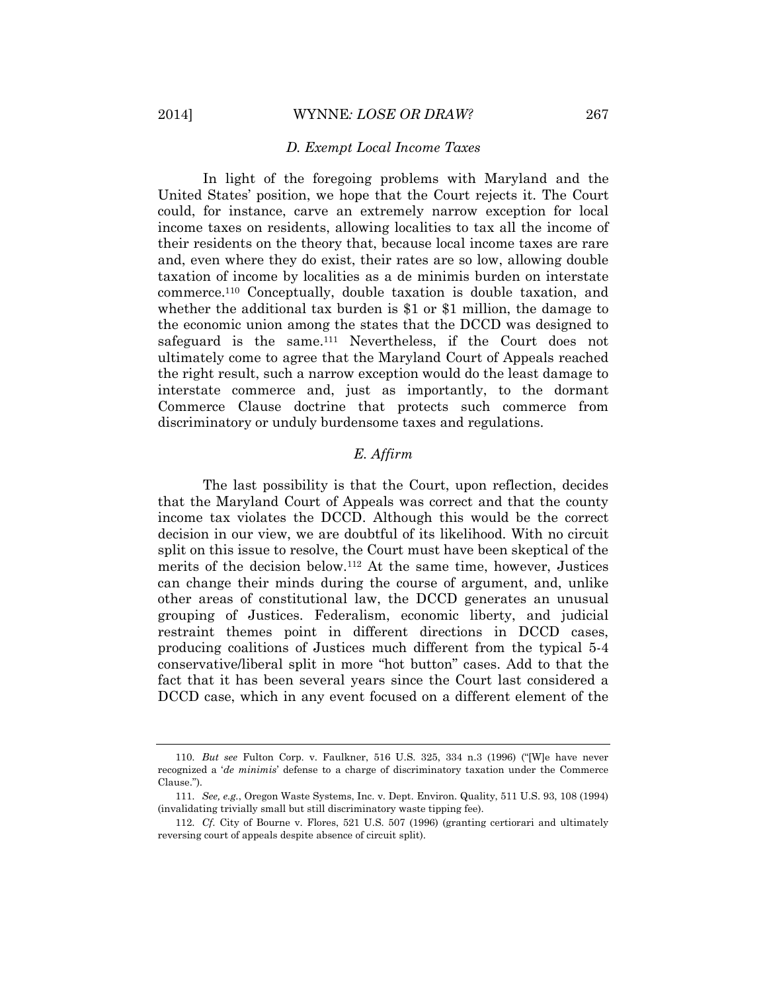#### *D. Exempt Local Income Taxes*

In light of the foregoing problems with Maryland and the United States' position, we hope that the Court rejects it. The Court could, for instance, carve an extremely narrow exception for local income taxes on residents, allowing localities to tax all the income of their residents on the theory that, because local income taxes are rare and, even where they do exist, their rates are so low, allowing double taxation of income by localities as a de minimis burden on interstate commerce.<sup>110</sup> Conceptually, double taxation is double taxation, and whether the additional tax burden is \$1 or \$1 million, the damage to the economic union among the states that the DCCD was designed to safeguard is the same.<sup>111</sup> Nevertheless, if the Court does not ultimately come to agree that the Maryland Court of Appeals reached the right result, such a narrow exception would do the least damage to interstate commerce and, just as importantly, to the dormant Commerce Clause doctrine that protects such commerce from discriminatory or unduly burdensome taxes and regulations.

# *E. Affirm*

The last possibility is that the Court, upon reflection, decides that the Maryland Court of Appeals was correct and that the county income tax violates the DCCD. Although this would be the correct decision in our view, we are doubtful of its likelihood. With no circuit split on this issue to resolve, the Court must have been skeptical of the merits of the decision below.<sup>112</sup> At the same time, however, Justices can change their minds during the course of argument, and, unlike other areas of constitutional law, the DCCD generates an unusual grouping of Justices. Federalism, economic liberty, and judicial restraint themes point in different directions in DCCD cases, producing coalitions of Justices much different from the typical 5-4 conservative/liberal split in more "hot button" cases. Add to that the fact that it has been several years since the Court last considered a DCCD case, which in any event focused on a different element of the

<sup>110.</sup> *But see* Fulton Corp. v. Faulkner, 516 U.S. 325, 334 n.3 (1996) ("[W]e have never recognized a '*de minimis*' defense to a charge of discriminatory taxation under the Commerce Clause.").

<sup>111.</sup> *See, e.g.*, Oregon Waste Systems, Inc. v. Dept. Environ. Quality, 511 U.S. 93, 108 (1994) (invalidating trivially small but still discriminatory waste tipping fee).

<sup>112.</sup> *Cf*. City of Bourne v. Flores, 521 U.S. 507 (1996) (granting certiorari and ultimately reversing court of appeals despite absence of circuit split).